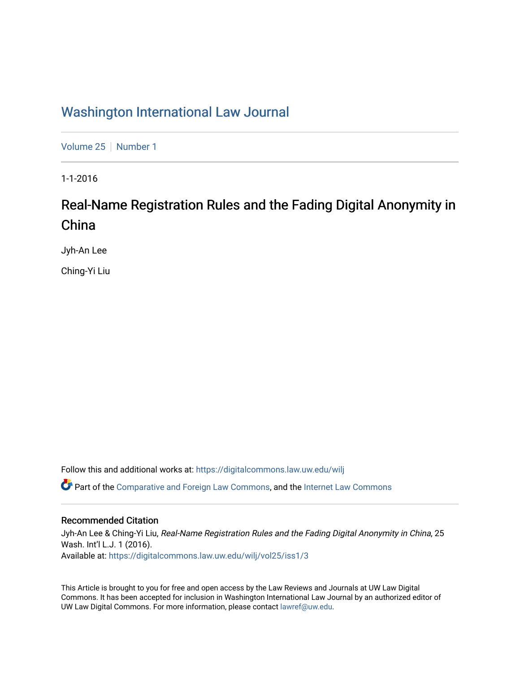# [Washington International Law Journal](https://digitalcommons.law.uw.edu/wilj)

[Volume 25](https://digitalcommons.law.uw.edu/wilj/vol25) | [Number 1](https://digitalcommons.law.uw.edu/wilj/vol25/iss1)

1-1-2016

# Real-Name Registration Rules and the Fading Digital Anonymity in China

Jyh-An Lee

Ching-Yi Liu

Follow this and additional works at: [https://digitalcommons.law.uw.edu/wilj](https://digitalcommons.law.uw.edu/wilj?utm_source=digitalcommons.law.uw.edu%2Fwilj%2Fvol25%2Fiss1%2F3&utm_medium=PDF&utm_campaign=PDFCoverPages) 

Part of the [Comparative and Foreign Law Commons,](http://network.bepress.com/hgg/discipline/836?utm_source=digitalcommons.law.uw.edu%2Fwilj%2Fvol25%2Fiss1%2F3&utm_medium=PDF&utm_campaign=PDFCoverPages) and the [Internet Law Commons](http://network.bepress.com/hgg/discipline/892?utm_source=digitalcommons.law.uw.edu%2Fwilj%2Fvol25%2Fiss1%2F3&utm_medium=PDF&utm_campaign=PDFCoverPages) 

# Recommended Citation

Jyh-An Lee & Ching-Yi Liu, Real-Name Registration Rules and the Fading Digital Anonymity in China, 25 Wash. Int'l L.J. 1 (2016). Available at: [https://digitalcommons.law.uw.edu/wilj/vol25/iss1/3](https://digitalcommons.law.uw.edu/wilj/vol25/iss1/3?utm_source=digitalcommons.law.uw.edu%2Fwilj%2Fvol25%2Fiss1%2F3&utm_medium=PDF&utm_campaign=PDFCoverPages) 

This Article is brought to you for free and open access by the Law Reviews and Journals at UW Law Digital Commons. It has been accepted for inclusion in Washington International Law Journal by an authorized editor of UW Law Digital Commons. For more information, please contact [lawref@uw.edu](mailto:lawref@uw.edu).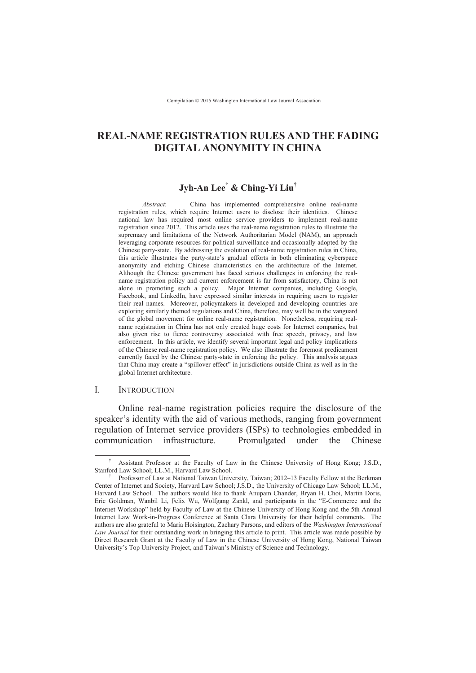# **REAL-NAME REGISTRATION RULES AND THE FADING DIGITAL ANONYMITY IN CHINA**

# **Jyh-An Lee† & Ching-Yi Liu†**

*Abstract*: China has implemented comprehensive online real-name registration rules, which require Internet users to disclose their identities. Chinese national law has required most online service providers to implement real-name registration since 2012. This article uses the real-name registration rules to illustrate the supremacy and limitations of the Network Authoritarian Model (NAM), an approach leveraging corporate resources for political surveillance and occasionally adopted by the Chinese party-state. By addressing the evolution of real-name registration rules in China, this article illustrates the party-state's gradual efforts in both eliminating cyberspace anonymity and etching Chinese characteristics on the architecture of the Internet. Although the Chinese government has faced serious challenges in enforcing the realname registration policy and current enforcement is far from satisfactory, China is not alone in promoting such a policy. Major Internet companies, including Google, Facebook, and LinkedIn, have expressed similar interests in requiring users to register their real names. Moreover, policymakers in developed and developing countries are exploring similarly themed regulations and China, therefore, may well be in the vanguard of the global movement for online real-name registration. Nonetheless, requiring realname registration in China has not only created huge costs for Internet companies, but also given rise to fierce controversy associated with free speech, privacy, and law enforcement. In this article, we identify several important legal and policy implications of the Chinese real-name registration policy. We also illustrate the foremost predicament currently faced by the Chinese party-state in enforcing the policy. This analysis argues that China may create a "spillover effect" in jurisdictions outside China as well as in the global Internet architecture.

#### I. INTRODUCTION

 $\overline{a}$ 

Online real-name registration policies require the disclosure of the speaker's identity with the aid of various methods, ranging from government regulation of Internet service providers (ISPs) to technologies embedded in communication infrastructure. Promulgated under the Chinese

<sup>†</sup> Assistant Professor at the Faculty of Law in the Chinese University of Hong Kong; J.S.D., Stanford Law School; LL.M., Harvard Law School.

<sup>†</sup> Professor of Law at National Taiwan University, Taiwan; 2012–13 Faculty Fellow at the Berkman Center of Internet and Society, Harvard Law School; J.S.D., the University of Chicago Law School; LL.M., Harvard Law School. The authors would like to thank Anupam Chander, Bryan H. Choi, Martin Doris, Eric Goldman, Wanbil Li, Felix Wu, Wolfgang Zankl, and participants in the "E-Commerce and the Internet Workshop" held by Faculty of Law at the Chinese University of Hong Kong and the 5th Annual Internet Law Work-in-Progress Conference at Santa Clara University for their helpful comments. The authors are also grateful to Maria Hoisington, Zachary Parsons, and editors of the *Washington International Law Journal* for their outstanding work in bringing this article to print. This article was made possible by Direct Research Grant at the Faculty of Law in the Chinese University of Hong Kong, National Taiwan University's Top University Project, and Taiwan's Ministry of Science and Technology.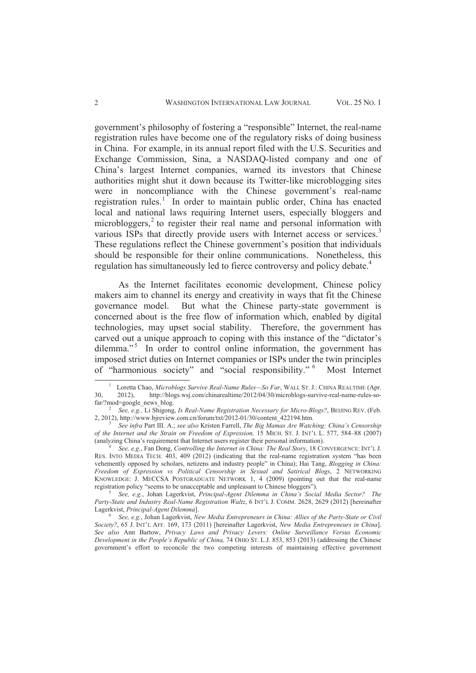government's philosophy of fostering a "responsible" Internet, the real-name registration rules have become one of the regulatory risks of doing business in China. For example, in its annual report filed with the U.S. Securities and Exchange Commission, Sina, a NASDAQ-listed company and one of China's largest Internet companies, warned its investors that Chinese authorities might shut it down because its Twitter-like microblogging sites were in noncompliance with the Chinese government's real-name registration rules.<sup>1</sup> In order to maintain public order, China has enacted local and national laws requiring Internet users, especially bloggers and microbloggers,<sup>2</sup> to register their real name and personal information with various ISPs that directly provide users with Internet access or services.<sup>3</sup> These regulations reflect the Chinese government's position that individuals should be responsible for their online communications. Nonetheless, this regulation has simultaneously led to fierce controversy and policy debate.<sup>4</sup>

 As the Internet facilitates economic development, Chinese policy makers aim to channel its energy and creativity in ways that fit the Chinese governance model. But what the Chinese party-state government is concerned about is the free flow of information which, enabled by digital technologies, may upset social stability. Therefore, the government has carved out a unique approach to coping with this instance of the "dictator's dilemma."<sup>5</sup> In order to control online information, the government has imposed strict duties on Internet companies or ISPs under the twin principles of "harmonious society" and "social responsibility." 6 Most Internet

5 *See, e.g.*, Johan Lagerkvist, *Principal-Agent Dilemma in China's Social Media Sector? The*  Party-State and Industry Real-Name Registration Waltz, 6 INT'L J. COMM. 2628, 2629 (2012) [hereinafter Lagerkvist, *Principal-Agent Dilemma*].

<sup>1</sup> Loretta Chao, *Microblogs Survive Real-Name Rules—So Far*, WALL ST. J.: CHINA REALTIME (Apr. 30, 2012), http://blogs.wsj.com/chinarealtime/2012/04/30/microblogs-survive-real-name-rules-sofar/?mod=google\_news\_blog.

<sup>2</sup>  *See, e.g.,* Li Shigong, *Is Real-Name Registration Necessary for Micro-Blogs?*, BEIJING REV. (Feb. 2, 2012), http://www.bjreview.com.cn/forum/txt/2012-01/30/content\_422194.htm.

<sup>3</sup>  *See infra* Part III. A.; *see also* Kristen Farrell, *The Big Mamas Are Watching: China's Censorship of the Internet and the Strain on Freedom of Expression,* 15 MICH. ST. J. INT'L L. 577, 584–88 (2007) (analyzing China's requirement that Internet users register their personal information).

<sup>4</sup>  *See, e.g*., Fan Dong, *Controlling the Internet in China: The Real Story*, 18 CONVERGENCE: INT'L J. RES. INTO MEDIA TECH. 403, 409 (2012) (indicating that the real-name registration system "has been vehemently opposed by scholars, netizens and industry people" in China); Hai Tang, *Blogging in China: Freedom of Expression vs Political Censorship in Sexual and Satirical Blogs*, 2 NETWORKING KNOWLEDGE: J. MECCSA POSTGRADUATE NETWORK 1, 4 (2009) (pointing out that the real-name registration policy "seems to be unacceptable and unpleasant to Chinese bloggers").

<sup>6</sup> *See, e.g.*, Johan Lagerkvist, *New Media Entrepreneurs in China: Allies of the Party-State or Civil Society?*, 65 J. INT'L AFF. 169, 173 (2011) [hereinafter Lagerkvist, *New Media Entrepreneurs in China*]. *See also* Ann Bartow, *Privacy Laws and Privacy Levers: Online Surveillance Versus Economic Development in the People's Republic of China,* 74 OHIO ST. L.J. 853, 853 (2013) (addressing the Chinese government's effort to reconcile the two competing interests of maintaining effective government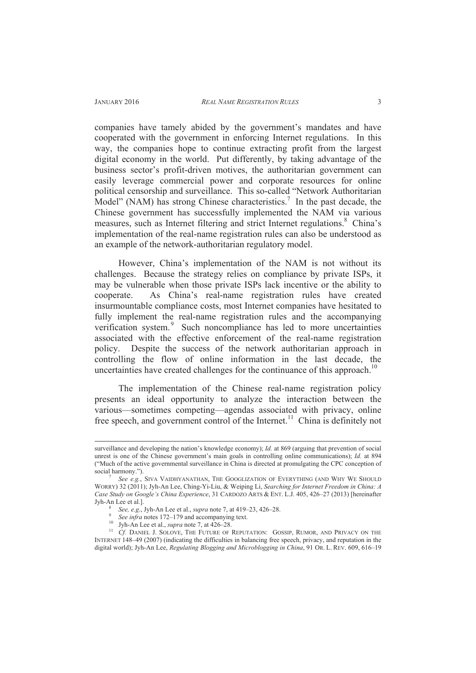$\overline{a}$ 

companies have tamely abided by the government's mandates and have cooperated with the government in enforcing Internet regulations. In this way, the companies hope to continue extracting profit from the largest digital economy in the world. Put differently, by taking advantage of the business sector's profit-driven motives, the authoritarian government can easily leverage commercial power and corporate resources for online political censorship and surveillance. This so-called "Network Authoritarian Model" (NAM) has strong Chinese characteristics.<sup>7</sup> In the past decade, the Chinese government has successfully implemented the NAM via various measures, such as Internet filtering and strict Internet regulations.<sup>8</sup> China's implementation of the real-name registration rules can also be understood as an example of the network-authoritarian regulatory model.

However, China's implementation of the NAM is not without its challenges. Because the strategy relies on compliance by private ISPs, it may be vulnerable when those private ISPs lack incentive or the ability to cooperate. As China's real-name registration rules have created insurmountable compliance costs, most Internet companies have hesitated to fully implement the real-name registration rules and the accompanying verification system.<sup>9</sup> Such noncompliance has led to more uncertainties associated with the effective enforcement of the real-name registration policy. Despite the success of the network authoritarian approach in controlling the flow of online information in the last decade, the uncertainties have created challenges for the continuance of this approach.<sup>10</sup>

The implementation of the Chinese real-name registration policy presents an ideal opportunity to analyze the interaction between the various—sometimes competing—agendas associated with privacy, online free speech, and government control of the Internet.<sup>11</sup> China is definitely not

9 *See infra* notes 172–179 and accompanying text.

surveillance and developing the nation's knowledge economy); *Id.* at 869 (arguing that prevention of social unrest is one of the Chinese government's main goals in controlling online communications); *Id.* at 894 ("Much of the active governmental surveillance in China is directed at promulgating the CPC conception of social harmony.").

<sup>7</sup>  *See e.g.*, SIVA VAIDHYANATHAN, THE GOOGLIZATION OF EVERYTHING (AND WHY WE SHOULD WORRY) 32 (2011); Jyh-An Lee, Ching-Yi-Liu, & Weiping Li, *Searching for Internet Freedom in China: A Case Study on Google's China Experience*, 31 CARDOZO ARTS & ENT. L.J. 405, 426–27 (2013) [hereinafter Jyh-An Lee et al.].

<sup>8</sup> *See, e.g*., Jyh-An Lee et al., *supra* note 7, at 419–23, 426–28.

<sup>10</sup> Jyh-An Lee et al., *supra* note 7, at 426–28.

<sup>&</sup>lt;sup>11</sup> *Cf.* DANIEL J. SOLOVE, THE FUTURE OF REPUTATION: GOSSIP, RUMOR, AND PRIVACY ON THE INTERNET 148–49 (2007) (indicating the difficulties in balancing free speech, privacy, and reputation in the digital world); Jyh-An Lee, *Regulating Blogging and Microblogging in China*, 91 OR. L. REV. 609, 616–19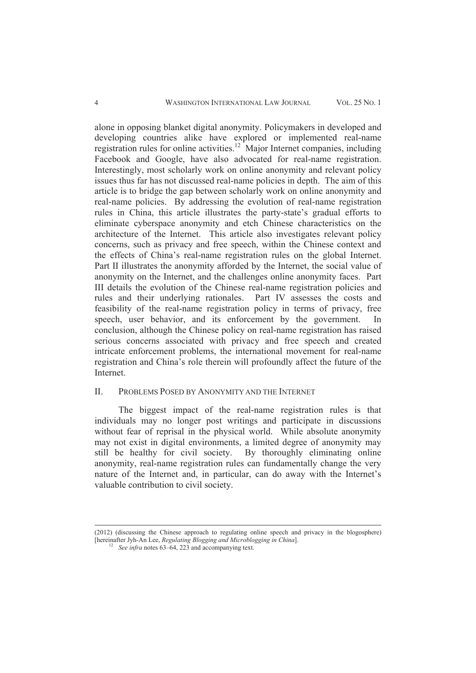alone in opposing blanket digital anonymity. Policymakers in developed and developing countries alike have explored or implemented real-name registration rules for online activities.<sup>12</sup> Major Internet companies, including Facebook and Google, have also advocated for real-name registration. Interestingly, most scholarly work on online anonymity and relevant policy issues thus far has not discussed real-name policies in depth. The aim of this article is to bridge the gap between scholarly work on online anonymity and real-name policies. By addressing the evolution of real-name registration rules in China, this article illustrates the party-state's gradual efforts to eliminate cyberspace anonymity and etch Chinese characteristics on the architecture of the Internet. This article also investigates relevant policy concerns, such as privacy and free speech, within the Chinese context and the effects of China's real-name registration rules on the global Internet. Part II illustrates the anonymity afforded by the Internet, the social value of anonymity on the Internet, and the challenges online anonymity faces. Part III details the evolution of the Chinese real-name registration policies and rules and their underlying rationales. Part IV assesses the costs and feasibility of the real-name registration policy in terms of privacy, free speech, user behavior, and its enforcement by the government. In conclusion, although the Chinese policy on real-name registration has raised serious concerns associated with privacy and free speech and created intricate enforcement problems, the international movement for real-name registration and China's role therein will profoundly affect the future of the Internet.

### II. PROBLEMS POSED BY ANONYMITY AND THE INTERNET

The biggest impact of the real-name registration rules is that individuals may no longer post writings and participate in discussions without fear of reprisal in the physical world. While absolute anonymity may not exist in digital environments, a limited degree of anonymity may still be healthy for civil society. By thoroughly eliminating online anonymity, real-name registration rules can fundamentally change the very nature of the Internet and, in particular, can do away with the Internet's valuable contribution to civil society.

<sup>(2012) (</sup>discussing the Chinese approach to regulating online speech and privacy in the blogosphere) [hereinafter Jyh-An Lee, *Regulating Blogging and Microblogging in China*].

See infra notes 63–64, 223 and accompanying text.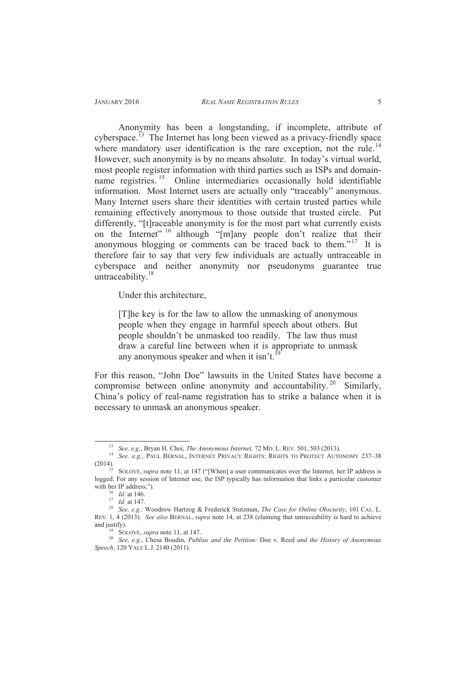Anonymity has been a longstanding, if incomplete, attribute of cyberspace.<sup> $13$ </sup> The Internet has long been viewed as a privacy-friendly space where mandatory user identification is the rare exception, not the rule.<sup>14</sup> However, such anonymity is by no means absolute. In today's virtual world, most people register information with third parties such as ISPs and domainname registries. <sup>15</sup> Online intermediaries occasionally hold identifiable information. Most Internet users are actually only "traceably" anonymous. Many Internet users share their identities with certain trusted parties while remaining effectively anonymous to those outside that trusted circle. Put differently, "[t]raceable anonymity is for the most part what currently exists on the Internet" <sup>16</sup> although "[m]any people don't realize that their anonymous blogging or comments can be traced back to them."<sup>17</sup> It is therefore fair to say that very few individuals are actually untraceable in cyberspace and neither anonymity nor pseudonyms guarantee true untraceability. $18$ 

Under this architecture,

[T]he key is for the law to allow the unmasking of anonymous people when they engage in harmful speech about others. But people shouldn't be unmasked too readily. The law thus must draw a careful line between when it is appropriate to unmask any anonymous speaker and when it isn't.<sup>1</sup>

For this reason, "John Doe" lawsuits in the United States have become a compromise between online anonymity and accountability.<sup>20</sup> Similarly, China's policy of real-name registration has to strike a balance when it is necessary to unmask an anonymous speaker.

<sup>13</sup> *See, e.g.*, Bryan H. Choi, *The Anonymous Internet,* 72 MD. L. REV. 501, 503 (2013).

<sup>&</sup>lt;sup>14</sup> *See. e.g.*, PAUL BERNAL, INTERNET PRIVACY RIGHTS: RIGHTS TO PROTECT AUTONOMY 237–38 (2014).

<sup>&</sup>lt;sup>15</sup> SOLOVE, *supra* note 11, at 147 ("[When] a user communicates over the Internet, her IP address is logged. For any session of Internet use, the ISP typically has information that links a particular customer with her IP address.").

<sup>16</sup> *Id*. at 146.

<sup>17</sup> *Id.* at 147.

<sup>18</sup> *See, e.g.,* Woodrow Hartzog & Frederick Stutzman, *The Case for Online Obscurity*, 101 CAL. L. REV. 1, 4 (2013). *See also* BERNAL, *supra* note 14, at 238 (claiming that untraceability is hard to achieve and justify).

SOLOVE, *supra* note 11, at 147.

<sup>20</sup> *See, e.g.*, Chesa Boudin, *Publius and the Petition:* Doe v. Reed *and the History of Anonymous Speech*, 120 YALE L.J. 2140 (2011).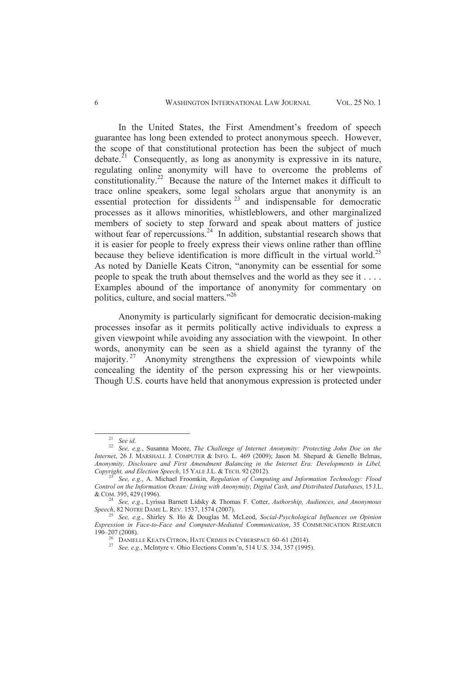#### 6 WASHINGTON INTERNATIONAL LAW JOURNAL VOL. 25 NO. 1

In the United States, the First Amendment's freedom of speech guarantee has long been extended to protect anonymous speech. However, the scope of that constitutional protection has been the subject of much debate.<sup>21</sup> Consequently, as long as anonymity is expressive in its nature, regulating online anonymity will have to overcome the problems of constitutionality.<sup>22</sup> Because the nature of the Internet makes it difficult to trace online speakers, some legal scholars argue that anonymity is an essential protection for dissidents<sup>23</sup> and indispensable for democratic processes as it allows minorities, whistleblowers, and other marginalized members of society to step forward and speak about matters of justice without fear of repercussions. $24$  In addition, substantial research shows that it is easier for people to freely express their views online rather than offline because they believe identification is more difficult in the virtual world.<sup>25</sup> As noted by Danielle Keats Citron, "anonymity can be essential for some people to speak the truth about themselves and the world as they see it . . . . Examples abound of the importance of anonymity for commentary on politics, culture, and social matters."<sup>26</sup>

Anonymity is particularly significant for democratic decision-making processes insofar as it permits politically active individuals to express a given viewpoint while avoiding any association with the viewpoint. In other words, anonymity can be seen as a shield against the tyranny of the majority.<sup>27</sup> Anonymity strengthens the expression of viewpoints while concealing the identity of the person expressing his or her viewpoints. Though U.S. courts have held that anonymous expression is protected under

<sup>21</sup> *See id.*

<sup>22</sup> *See, e.g.*, Susanna Moore, *The Challenge of Internet Anonymity: Protecting John Doe on the Internet*, 26 J. MARSHALL J. COMPUTER & INFO. L. 469 (2009); Jason M. Shepard & Genelle Belmas, *Anonymity, Disclosure and First Amendment Balancing in the Internet Era: Developments in Libel, Copyright, and Election Speech*, 15 YALE J.L. & TECH. 92 (2012).

<sup>23</sup> *See, e.g.*, A. Michael Froomkin, *Regulation of Computing and Information Technology: Flood Control on the Information Ocean: Living with Anonymity, Digital Cash, and Distributed Databases,* 15 J.L. & COM. 395, 429 (1996).

<sup>24</sup> *See, e.g.*, Lyrissa Barnett Lidsky & Thomas F. Cotter, *Authorship, Audiences, and Anonymous Speech*, 82 NOTRE DAME L. REV. 1537, 1574 (2007).

<sup>25</sup> *See, e.g.*, Shirley S. Ho & Douglas M. McLeod, *Social-Psychological Influences on Opinion Expression in Face-to-Face and Computer-Mediated Communication*, 35 COMMUNICATION RESEARCH 190–207 (2008).

 $^{26}$  DANIELLE KEATS CITRON, HATE CRIMES IN CYBERSPACE 60–61 (2014).

<sup>27</sup> *See, e.g.*, McIntyre v. Ohio Elections Comm'n, 514 U.S. 334, 357 (1995).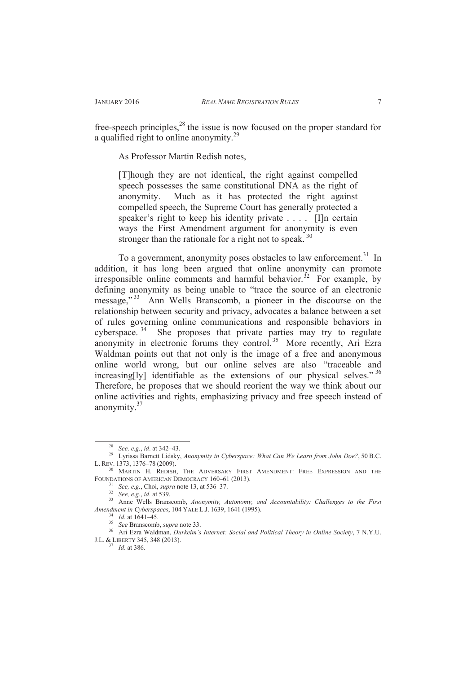free-speech principles, $^{28}$  the issue is now focused on the proper standard for a qualified right to online anonymity.<sup>29</sup>

As Professor Martin Redish notes,

[T]hough they are not identical, the right against compelled speech possesses the same constitutional DNA as the right of anonymity. Much as it has protected the right against compelled speech, the Supreme Court has generally protected a speaker's right to keep his identity private . . . . [I]n certain ways the First Amendment argument for anonymity is even stronger than the rationale for a right not to speak.<sup>30</sup>

To a government, anonymity poses obstacles to law enforcement.<sup>31</sup> In addition, it has long been argued that online anonymity can promote irresponsible online comments and harmful behavior.<sup>32</sup> For example, by defining anonymity as being unable to "trace the source of an electronic message,"<sup>33</sup> Ann Wells Branscomb, a pioneer in the discourse on the relationship between security and privacy, advocates a balance between a set of rules governing online communications and responsible behaviors in cyberspace.<sup>34</sup> She proposes that private parties may try to regulate anonymity in electronic forums they control.<sup>35</sup> More recently, Ari Ezra Waldman points out that not only is the image of a free and anonymous online world wrong, but our online selves are also "traceable and increasing[ly] identifiable as the extensions of our physical selves."  $36$ Therefore, he proposes that we should reorient the way we think about our online activities and rights, emphasizing privacy and free speech instead of anonymity.<sup>37</sup>

<sup>28</sup> *See, e.g.*, *id*. at 342–43.

<sup>29</sup> Lyrissa Barnett Lidsky, *Anonymity in Cyberspace: What Can We Learn from John Doe?*, 50 B.C. L. REV. 1373, 1376–78 (2009).

<sup>&</sup>lt;sup>30</sup> MARTIN H. REDISH, THE ADVERSARY FIRST AMENDMENT: FREE EXPRESSION AND THE FOUNDATIONS OF AMERICAN DEMOCRACY 160-61 (2013).

<sup>31</sup> *See, e.g.*, Choi, *supra* note 13, at 536–37.

<sup>32</sup> *See, e.g.*, *id.* at 539.

<sup>33</sup> Anne Wells Branscomb, *Anonymity, Autonomy, and Accountability: Challenges to the First Amendment in Cyberspaces*, 104 YALE L.J. 1639, 1641 (1995).

<sup>34</sup> *Id.* at 1641–45.

<sup>35</sup> *See* Branscomb, *supra* note 33.

<sup>36</sup> Ari Ezra Waldman, *Durkeim's Internet: Social and Political Theory in Online Society*, 7 N.Y.U. J.L. & LIBERTY 345, 348 (2013).

 $^{37}$  *Id.* at 386.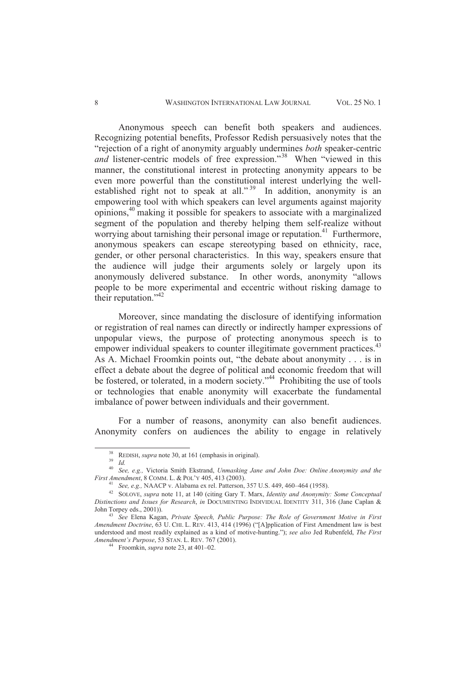#### 8 WASHINGTON INTERNATIONAL LAW JOURNAL VOL. 25 NO. 1

Anonymous speech can benefit both speakers and audiences. Recognizing potential benefits, Professor Redish persuasively notes that the "rejection of a right of anonymity arguably undermines *both* speaker-centric *and* listener-centric models of free expression."<sup>38</sup> When "viewed in this manner, the constitutional interest in protecting anonymity appears to be even more powerful than the constitutional interest underlying the wellestablished right not to speak at all."<sup>39</sup> In addition, anonymity is an empowering tool with which speakers can level arguments against majority opinions,<sup>40</sup> making it possible for speakers to associate with a marginalized segment of the population and thereby helping them self-realize without worrying about tarnishing their personal image or reputation.<sup>41</sup> Furthermore, anonymous speakers can escape stereotyping based on ethnicity, race, gender, or other personal characteristics. In this way, speakers ensure that the audience will judge their arguments solely or largely upon its anonymously delivered substance. In other words, anonymity "allows people to be more experimental and eccentric without risking damage to their reputation."<sup>42</sup>

Moreover, since mandating the disclosure of identifying information or registration of real names can directly or indirectly hamper expressions of unpopular views, the purpose of protecting anonymous speech is to empower individual speakers to counter illegitimate government practices.<sup>43</sup> As A. Michael Froomkin points out, "the debate about anonymity . . . is in effect a debate about the degree of political and economic freedom that will be fostered, or tolerated, in a modern society."<sup>44</sup> Prohibiting the use of tools or technologies that enable anonymity will exacerbate the fundamental imbalance of power between individuals and their government.

For a number of reasons, anonymity can also benefit audiences. Anonymity confers on audiences the ability to engage in relatively

<sup>38</sup> REDISH, *supra* note 30, at 161 (emphasis in original).

<sup>39</sup> *Id.*

<sup>40</sup> *See, e.g.,* Victoria Smith Ekstrand, *Unmasking Jane and John Doe: Online Anonymity and the First Amendment*, 8 COMM. L. & POL'Y 405, 413 (2003).

<sup>41</sup> *See, e.g.,* NAACP v. Alabama ex rel. Patterson, 357 U.S. 449, 460–464 (1958).

<sup>42</sup> SOLOVE, *supra* note 11, at 140 (citing Gary T. Marx, *Identity and Anonymity: Some Conceptual Distinctions and Issues for Research*, *in* DOCUMENTING INDIVIDUAL IDENTITY 311, 316 (Jane Caplan & John Torpey eds., 2001)).

<sup>43</sup> *See* Elena Kagan, *Private Speech, Public Purpose: The Role of Government Motive in First Amendment Doctrine*, 63 U. CHI. L. REV. 413, 414 (1996) ("[A]pplication of First Amendment law is best understood and most readily explained as a kind of motive-hunting."); *see also* Jed Rubenfeld, *The First Amendment's Purpose*, 53 STAN. L. REV. 767 (2001).

<sup>44</sup> Froomkin, *supra* note 23, at 401–02.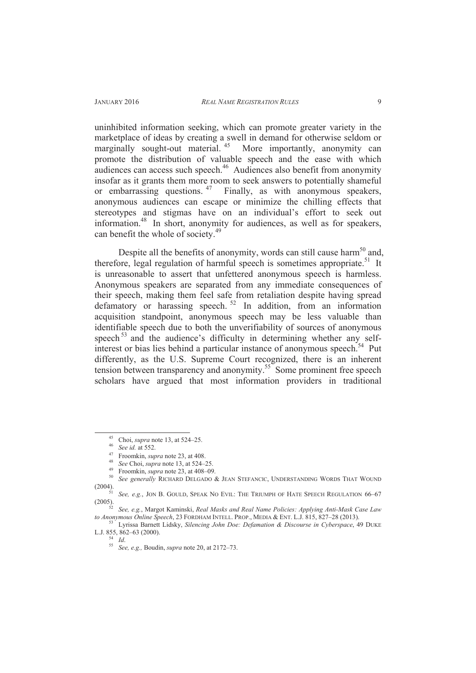uninhibited information seeking, which can promote greater variety in the marketplace of ideas by creating a swell in demand for otherwise seldom or marginally sought-out material.<sup>45</sup> More importantly, anonymity can promote the distribution of valuable speech and the ease with which audiences can access such speech. $46$  Audiences also benefit from anonymity insofar as it grants them more room to seek answers to potentially shameful or embarrassing questions.  $47$  Finally, as with anonymous speakers, anonymous audiences can escape or minimize the chilling effects that stereotypes and stigmas have on an individual's effort to seek out information.<sup>48</sup> In short, anonymity for audiences, as well as for speakers, can benefit the whole of society.<sup>49</sup>

Despite all the benefits of anonymity, words can still cause harm<sup>50</sup> and, therefore, legal regulation of harmful speech is sometimes appropriate.<sup>51</sup> It is unreasonable to assert that unfettered anonymous speech is harmless. Anonymous speakers are separated from any immediate consequences of their speech, making them feel safe from retaliation despite having spread defamatory or harassing speech.  $52$  In addition, from an information acquisition standpoint, anonymous speech may be less valuable than identifiable speech due to both the unverifiability of sources of anonymous speech<sup>53</sup> and the audience's difficulty in determining whether any selfinterest or bias lies behind a particular instance of anonymous speech.<sup>54</sup> Put differently, as the U.S. Supreme Court recognized, there is an inherent tension between transparency and anonymity.<sup>55</sup> Some prominent free speech scholars have argued that most information providers in traditional

 $\overline{a}$ 

<sup>54</sup> *Id*.

<sup>45</sup> Choi, *supra* note 13, at 524–25.

<sup>46</sup> *See id.* at 552.

<sup>47</sup> Froomkin, *supra* note 23, at 408.

<sup>48</sup> *See* Choi, *supra* note 13, at 524–25.

<sup>49</sup> Froomkin, *supra* note 23, at 408–09.

<sup>50</sup> *See generally* RICHARD DELGADO & JEAN STEFANCIC, UNDERSTANDING WORDS THAT WOUND (2004).

<sup>51</sup> *See, e.g.*, JON B. GOULD, SPEAK N<sup>O</sup> EVIL: THE TRIUMPH OF HATE SPEECH REGULATION 66–67 (2005).

<sup>52</sup> *See, e.g.*, Margot Kaminski, *Real Masks and Real Name Policies: Applying Anti-Mask Case Law to Anonymous Online Speech*, 23 FORDHAM INTELL. PROP., MEDIA & ENT. L.J. 815, 827–28 (2013).

<sup>53</sup> Lyrissa Barnett Lidsky, *Silencing John Doe: Defamation & Discourse in Cyberspace*, 49 DUKE L.J. 855, 862–63 (2000).

<sup>55</sup> *See, e.g.,* Boudin, *supra* note 20, at 2172–73.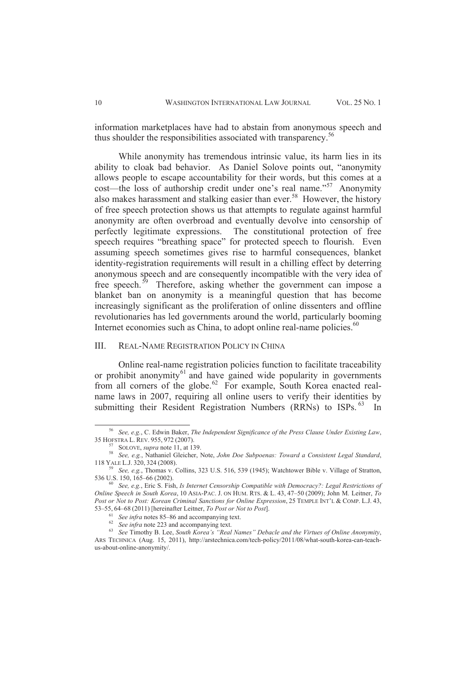information marketplaces have had to abstain from anonymous speech and thus shoulder the responsibilities associated with transparency.<sup>56</sup>

While anonymity has tremendous intrinsic value, its harm lies in its ability to cloak bad behavior. As Daniel Solove points out, "anonymity allows people to escape accountability for their words, but this comes at a cost—the loss of authorship credit under one's real name."<sup>57</sup> Anonymity also makes harassment and stalking easier than ever. <sup>58</sup> However, the history of free speech protection shows us that attempts to regulate against harmful anonymity are often overbroad and eventually devolve into censorship of perfectly legitimate expressions. The constitutional protection of free speech requires "breathing space" for protected speech to flourish. Even assuming speech sometimes gives rise to harmful consequences, blanket identity-registration requirements will result in a chilling effect by deterring anonymous speech and are consequently incompatible with the very idea of free speech.<sup>59</sup> Therefore, asking whether the government can impose a blanket ban on anonymity is a meaningful question that has become increasingly significant as the proliferation of online dissenters and offline revolutionaries has led governments around the world, particularly booming Internet economies such as China, to adopt online real-name policies.<sup>60</sup>

## III. REAL-NAME REGISTRATION POLICY IN CHINA

Online real-name registration policies function to facilitate traceability or prohibit anonymity $61$  and have gained wide popularity in governments from all corners of the globe.<sup>62</sup> For example, South Korea enacted realname laws in 2007, requiring all online users to verify their identities by submitting their Resident Registration Numbers  $(RRNs)$  to ISPs.  $^{63}$  In

<sup>56</sup> *See, e.g.*, C. Edwin Baker, *The Independent Significance of the Press Clause Under Existing Law*, 35 HOFSTRA L. REV. 955, 972 (2007).

SOLOVE, *supra* note 11, at 139.

<sup>58</sup> *See, e.g.*, Nathaniel Gleicher, Note, *John Doe Subpoenas: Toward a Consistent Legal Standard*, 118 YALE L.J. 320, 324 (2008).

<sup>59</sup> *See, e.g.*, Thomas v. Collins, 323 U.S. 516, 539 (1945); Watchtower Bible v. Village of Stratton, 536 U.S. 150, 165–66 (2002).

<sup>60</sup> *See, e.g.*, Eric S. Fish, *Is Internet Censorship Compatible with Democracy?: Legal Restrictions of Online Speech in South Korea*, 10 ASIA-PAC. J. ON HUM. RTS. & L. 43, 47–50 (2009); John M. Leitner, *To Post or Not to Post: Korean Criminal Sanctions for Online Expression*, 25 TEMPLE INT'L & COMP. L.J. 43, 53–55, 64–68 (2011) [hereinafter Leitner, *To Post or Not to Post*].

<sup>61</sup> *See infra* notes 85–86 and accompanying text.

<sup>62</sup> *See infra* note 223 and accompanying text.

<sup>63</sup> *See* Timothy B. Lee, *South Korea's "Real Names" Debacle and the Virtues of Online Anonymity*, ARS TECHNICA (Aug. 15, 2011), http://arstechnica.com/tech-policy/2011/08/what-south-korea-can-teachus-about-online-anonymity/.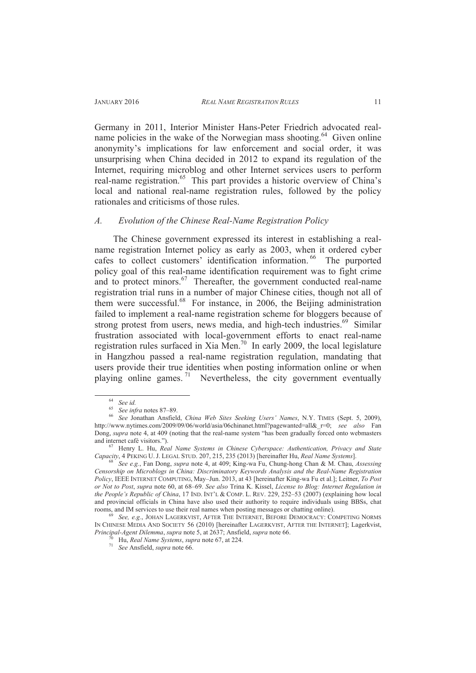real-name registration.<sup>65</sup> This part provides a historic overview of China's local and national real-name registration rules, followed by the policy

Germany in 2011, Interior Minister Hans-Peter Friedrich advocated realname policies in the wake of the Norwegian mass shooting.<sup>64</sup> Given online anonymity's implications for law enforcement and social order, it was unsurprising when China decided in 2012 to expand its regulation of the Internet, requiring microblog and other Internet services users to perform

#### *A. Evolution of the Chinese Real-Name Registration Policy*

rationales and criticisms of those rules.

The Chinese government expressed its interest in establishing a realname registration Internet policy as early as 2003, when it ordered cyber cafes to collect customers' identification information. <sup>66</sup> The purported policy goal of this real-name identification requirement was to fight crime and to protect minors. $67$  Thereafter, the government conducted real-name registration trial runs in a number of major Chinese cities, though not all of them were successful.<sup>68</sup> For instance, in 2006, the Beijing administration failed to implement a real-name registration scheme for bloggers because of strong protest from users, news media, and high-tech industries.<sup>69</sup> Similar frustration associated with local-government efforts to enact real-name registration rules surfaced in Xia Men.<sup>70</sup> In early 2009, the local legislature in Hangzhou passed a real-name registration regulation, mandating that users provide their true identities when posting information online or when playing online games. <sup>71</sup> Nevertheless, the city government eventually

<sup>64</sup> *See id.*

<sup>65</sup> *See infra* notes 87–89.

<sup>66</sup> *See* Jonathan Ansfield, *China Web Sites Seeking Users' Names*, N.Y. TIMES (Sept. 5, 2009), http://www.nytimes.com/2009/09/06/world/asia/06chinanet.html?pagewanted=all&\_r=0; *see also* Fan Dong, *supra* note 4, at 409 (noting that the real-name system "has been gradually forced onto webmasters and internet café visitors.").

<sup>67</sup> Henry L. Hu, *Real Name Systems in Chinese Cyberspace: Authentication, Privacy and State Capacity*, 4 PEKING U. J. LEGAL STUD. 207, 215, 235 (2013) [hereinafter Hu, *Real Name Systems*].

<sup>68</sup> *See e.g.*, Fan Dong, *supra* note 4, at 409; King-wa Fu, Chung-hong Chan & M. Chau, *Assessing Censorship on Microblogs in China: Discriminatory Keywords Analysis and the Real-Name Registration Policy*, IEEE INTERNET COMPUTING, May–Jun. 2013, at 43 [hereinafter King-wa Fu et al.]; Leitner, *To Post or Not to Post*, *supra* note 60, at 68–69. *See also* Trina K. Kissel, *License to Blog: Internet Regulation in the People's Republic of China*, 17 IND. INT'L & COMP. L. REV. 229, 252–53 (2007) (explaining how local and provincial officials in China have also used their authority to require individuals using BBSs, chat rooms, and IM services to use their real names when posting messages or chatting online).

<sup>69</sup> *See, e.g.*, JOHAN LAGERKVIST, AFTER THE INTERNET, BEFORE DEMOCRACY: COMPETING NORMS IN CHINESE MEDIA AND SOCIETY 56 (2010) [hereinafter LAGERKVIST, AFTER THE INTERNET]; Lagerkvist, *Principal-Agent Dilemma*, *supra* note 5, at 2637; Ansfield, *supra* note 66.

<sup>70</sup> Hu, *Real Name Systems*, *supra* note 67, at 224.

<sup>71</sup> *See* Ansfield, *supra* note 66.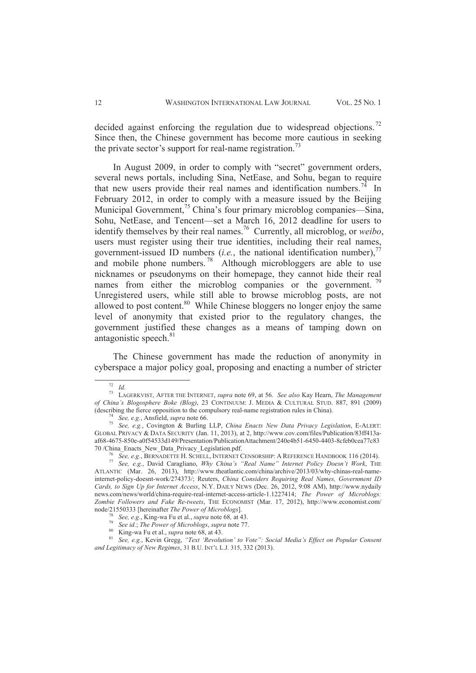decided against enforcing the regulation due to widespread objections.<sup>72</sup> Since then, the Chinese government has become more cautious in seeking the private sector's support for real-name registration.<sup>73</sup>

In August 2009, in order to comply with "secret" government orders, several news portals, including Sina, NetEase, and Sohu, began to require that new users provide their real names and identification numbers.<sup>74</sup> In February 2012, in order to comply with a measure issued by the Beijing Municipal Government,<sup>75</sup> China's four primary microblog companies—Sina, Sohu, NetEase, and Tencent—set a March 16, 2012 deadline for users to identify themselves by their real names.<sup>76</sup> Currently, all microblog, or *weibo*, users must register using their true identities, including their real names, government-issued ID numbers (*i.e.*, the national identification number),<sup>7</sup> and mobile phone numbers.  $^{78}$  Although microbloggers are able to use nicknames or pseudonyms on their homepage, they cannot hide their real names from either the microblog companies or the government.  $^{79}$ Unregistered users, while still able to browse microblog posts, are not allowed to post content.<sup>80</sup> While Chinese bloggers no longer enjoy the same level of anonymity that existed prior to the regulatory changes, the government justified these changes as a means of tamping down on antagonistic speech. $81$ 

The Chinese government has made the reduction of anonymity in cyberspace a major policy goal, proposing and enacting a number of stricter

<sup>72</sup> *Id*.

<sup>73</sup> LAGERKVIST, AFTER THE INTERNET, *supra* note 69, at 56. *See also* Kay Hearn, *The Management of China's Blogosphere Boke (Blog)*, 23 CONTINUUM: J. MEDIA & CULTURAL STUD. 887, 891 (2009) (describing the fierce opposition to the compulsory real-name registration rules in China).

<sup>74</sup> *See, e.g.*, Ansfield, *supra* note 66.

<sup>75</sup> *See, e.g.*, Covington & Burling LLP, *China Enacts New Data Privacy Legislation*, E-ALERT: GLOBAL PRIVACY & DATA SECURITY (Jan. 11, 2013), at 2, http://www.cov.com/files/Publication/83ff413aaf68-4675-850e-a0f54533d149/Presentation/PublicationAttachment/240e4b51-6450-4403-8cfeb0cea77c83 70 /China\_Enacts\_New\_Data\_Privacy\_Legislation.pdf.

<sup>76</sup> *See, e.g.*, BERNADETTE H. SCHELL, INTERNET CENSORSHIP: A REFERENCE HANDBOOK 116 (2014).

<sup>77</sup> *See, e.g.*, David Caragliano, *Why China's "Real Name" Internet Policy Doesn't Work*, THE ATLANTIC (Mar. 26, 2013), http://www.theatlantic.com/china/archive/2013/03/why-chinas-real-nameinternet-policy-doesnt-work/274373/; Reuters, *China Considers Requiring Real Names, Government ID Cards, to Sign Up for Internet Access*, N.Y. DAILY NEWS (Dec. 26, 2012, 9:08 AM), http://www.nydaily news.com/news/world/china-require-real-internet-access-article-1.1227414; *The Power of Microblogs: Zombie Followers and Fake Re-tweets*, THE ECONOMIST (Mar. 17, 2012), http://www.economist.com/ node/21550333 [hereinafter *The Power of Microblogs*].

<sup>78</sup> *See, e.g.*, King-wa Fu et al., *supra* note 68*,* at 43.

<sup>79</sup> *See id.*; *The Power of Microblogs*, *supra* note 77.

 $80$  King-wa Fu et al., *supra* note  $68$ , at 43.

<sup>81</sup> *See, e.g.*, Kevin Gregg, *"Text 'Revolution' to Vote": Social Media's Effect on Popular Consent and Legitimacy of New Regimes*, 31 B.U. INT'L L.J. 315, 332 (2013).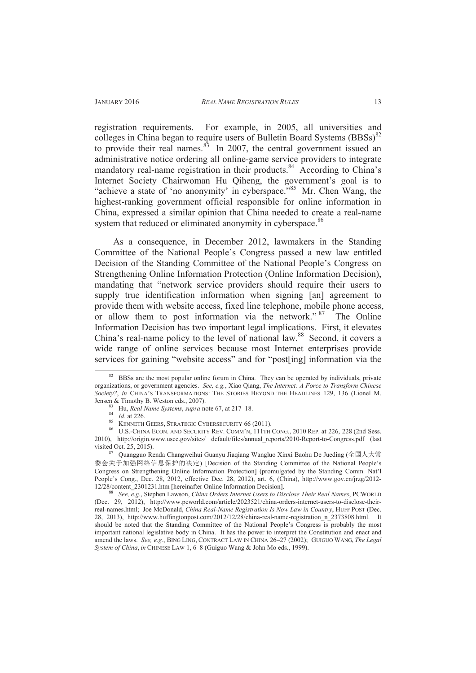registration requirements. For example, in 2005, all universities and colleges in China began to require users of Bulletin Board Systems  $(BBSS)^{82}$ to provide their real names.<sup>83</sup> In 2007, the central government issued an administrative notice ordering all online-game service providers to integrate mandatory real-name registration in their products.<sup>84</sup> According to China's Internet Society Chairwoman Hu Qiheng, the government's goal is to "achieve a state of 'no anonymity' in cyberspace."<sup>85</sup> Mr. Chen Wang, the highest-ranking government official responsible for online information in China, expressed a similar opinion that China needed to create a real-name system that reduced or eliminated anonymity in cyberspace.<sup>86</sup>

As a consequence, in December 2012, lawmakers in the Standing Committee of the National People's Congress passed a new law entitled Decision of the Standing Committee of the National People's Congress on Strengthening Online Information Protection (Online Information Decision), mandating that "network service providers should require their users to supply true identification information when signing [an] agreement to provide them with website access, fixed line telephone, mobile phone access, or allow them to post information via the network."<sup>87</sup> The Online Information Decision has two important legal implications. First, it elevates China's real-name policy to the level of national law. <sup>88</sup> Second, it covers a wide range of online services because most Internet enterprises provide services for gaining "website access" and for "post[ing] information via the

 $82$  BBSs are the most popular online forum in China. They can be operated by individuals, private organizations, or government agencies. *See, e.g.*, Xiao Qiang, *The Internet: A Force to Transform Chinese Society?*, *in* CHINA'S TRANSFORMATIONS: THE STORIES BEYOND THE HEADLINES 129, 136 (Lionel M. Jensen & Timothy B. Weston eds., 2007).

<sup>83</sup> Hu, *Real Name Systems*, *supra* note 67, at 217–18.

<sup>84</sup> *Id.* at 226.

<sup>85</sup> KENNETH GEERS, STRATEGIC CYBERSECURITY 66 (2011).

<sup>86</sup> U.S.-CHINA ECON. AND SECURITY REV. COMM'N, 111TH CONG., 2010 REP. at 226, 228 (2nd Sess. 2010), http://origin.www.uscc.gov/sites/ default/files/annual\_reports/2010-Report-to-Congress.pdf (last visited Oct. 25, 2015).

 $87$  Quangguo Renda Changweihui Guanyu Jiaqiang Wangluo Xinxi Baohu De Jueding (全国人大常 委会关于加强网络信息保护的决定) [Decision of the Standing Committee of the National People's Congress on Strengthening Online Information Protection] (promulgated by the Standing Comm. Nat'l People's Cong., Dec. 28, 2012, effective Dec. 28, 2012), art. 6, (China), http://www.gov.cn/jrzg/2012- 12/28/content\_2301231.htm [hereinafter Online Information Decision].

<sup>88</sup> *See, e.g.*, Stephen Lawson, *China Orders Internet Users to Disclose Their Real Names*, PCWORLD (Dec. 29, 2012), http://www.pcworld.com/article/2023521/china-orders-internet-users-to-disclose-theirreal-names.html; Joe McDonald, *China Real-Name Registration Is Now Law in Country*, HUFF POST (Dec. 28, 2013), http://www.huffingtonpost.com/2012/12/28/china-real-name-registration\_n\_2373808.html. It should be noted that the Standing Committee of the National People's Congress is probably the most important national legislative body in China. It has the power to interpret the Constitution and enact and amend the laws. *See, e.g.*, BING LING, CONTRACT LAW IN CHINA 26–27 (2002); GUIGUO WANG, *The Legal System of China*, *in* CHINESE LAW 1, 6–8 (Guiguo Wang & John Mo eds., 1999).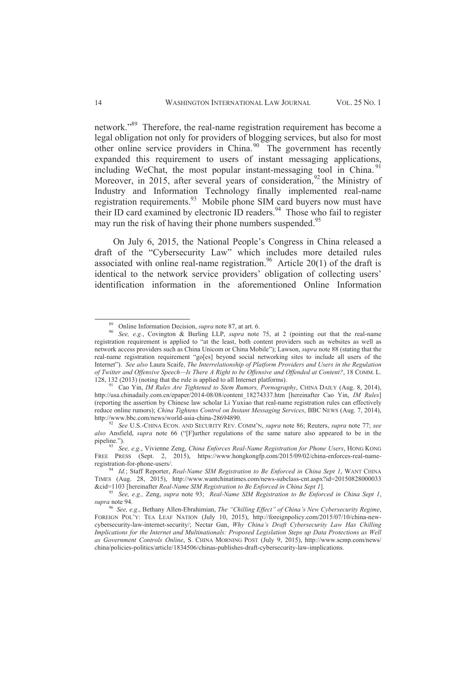network."<sup>89</sup> Therefore, the real-name registration requirement has become a legal obligation not only for providers of blogging services, but also for most other online service providers in China.<sup>90</sup> The government has recently expanded this requirement to users of instant messaging applications, including WeChat, the most popular instant-messaging tool in China.<sup>91</sup> Moreover, in 2015, after several years of consideration,  $92$  the Ministry of Industry and Information Technology finally implemented real-name registration requirements.<sup>93</sup> Mobile phone SIM card buyers now must have their ID card examined by electronic ID readers. $94$  Those who fail to register may run the risk of having their phone numbers suspended.<sup>95</sup>

On July 6, 2015, the National People's Congress in China released a draft of the "Cybersecurity Law" which includes more detailed rules associated with online real-name registration.<sup>96</sup> Article 20(1) of the draft is identical to the network service providers' obligation of collecting users' identification information in the aforementioned Online Information

<sup>89</sup> Online Information Decision, *supra* note 87, at art. 6.

<sup>90</sup> *See, e.g.*, Covington & Burling LLP, *supra* note 75, at 2 (pointing out that the real-name registration requirement is applied to "at the least, both content providers such as websites as well as network access providers such as China Unicom or China Mobile"); Lawson, *supra* note 88 (stating that the real-name registration requirement "go[es] beyond social networking sites to include all users of the Internet"). *See also* Laura Scaife, *The Interrelationship of Platform Providers and Users in the Regulation of Twitter and Offensive Speech—Is There A Right to be Offensive and Offended at Content?*, 18 COMM. L. 128, 132 (2013) (noting that the rule is applied to all Internet platforms).

<sup>91</sup> Cao Yin, *IM Rules Are Tightened to Stem Rumors, Pornography*, CHINA DAILY (Aug. 8, 2014), http://usa.chinadaily.com.cn/epaper/2014-08/08/content\_18274337.htm [hereinafter Cao Yin, *IM Rules*] (reporting the assertion by Chinese law scholar Li Yuxiao that real-name registration rules can effectively reduce online rumors); *China Tightens Control on Instant Messaging Services*, BBC NEWS (Aug. 7, 2014), http://www.bbc.com/news/world-asia-china-28694890.

<sup>92</sup> *See* U.S.-CHINA ECON. AND SECURITY REV. COMM'N, *supra* note 86; Reuters, *supra* note 77; *see also* Ansfield, *supra* note 66 ("[F]urther regulations of the same nature also appeared to be in the pipeline.").

<sup>93</sup> *See, e.g*., Vivienne Zeng, *China Enforces Real-Name Registration for Phone Users*, HONG KONG FREE PRESS (Sept. 2, 2015), https://www.hongkongfp.com/2015/09/02/china-enforces-real-nameregistration-for-phone-users/.

<sup>94</sup> *Id.*; Staff Reporter, *Real-Name SIM Registration to Be Enforced in China Sept 1*, WANT CHINA TIMES (Aug. 28, 2015), http://www.wantchinatimes.com/news-subclass-cnt.aspx?id=20150828000033 &cid=1103 [hereinafter *Real-Name SIM Registration to Be Enforced in China Sept 1*].

<sup>95</sup> *See, e.g.,* Zeng, *supra* note 93; *Real-Name SIM Registration to Be Enforced in China Sept 1*, *supra* note 94.

<sup>96</sup> *See, e.g*., Bethany Allen-Ebrahimian, *The "Chilling Effect" of China's New Cybersecurity Regime*, FOREIGN POL'Y: TEA LEAF NATION (July 10, 2015), http://foreignpolicy.com/2015/07/10/china-newcybersecurity-law-internet-security/; Nectar Gan, *Why China's Draft Cybersecurity Law Has Chilling Implications for the Internet and Multinationals: Proposed Legislation Steps up Data Protections as Well as Government Controls Online*, S. CHINA MORNING POST (July 9, 2015), http://www.scmp.com/news/ china/policies-politics/article/1834506/chinas-publishes-draft-cybersecurity-law-implications.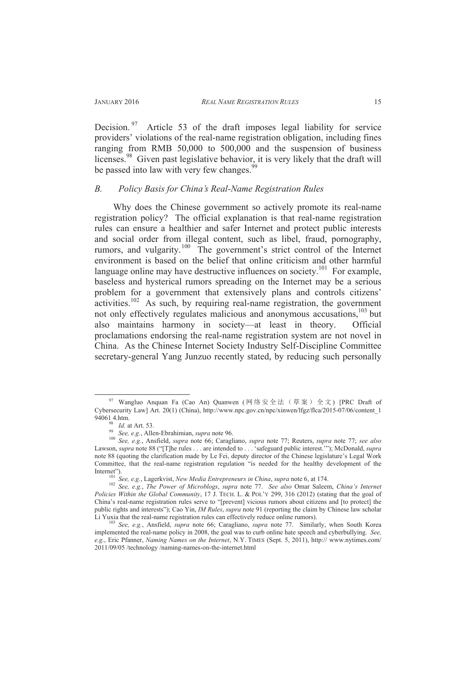Decision.<sup>97</sup> Article 53 of the draft imposes legal liability for service providers' violations of the real-name registration obligation, including fines ranging from RMB 50,000 to 500,000 and the suspension of business licenses.<sup>98</sup> Given past legislative behavior, it is very likely that the draft will be passed into law with very few changes.<sup>9</sup>

## *B. Policy Basis for China's Real-Name Registration Rules*

Why does the Chinese government so actively promote its real-name registration policy? The official explanation is that real-name registration rules can ensure a healthier and safer Internet and protect public interests and social order from illegal content, such as libel, fraud, pornography, rumors, and vulgarity.<sup>100</sup> The government's strict control of the Internet environment is based on the belief that online criticism and other harmful language online may have destructive influences on society.<sup>101</sup> For example, baseless and hysterical rumors spreading on the Internet may be a serious problem for a government that extensively plans and controls citizens' activities.<sup>102</sup> As such, by requiring real-name registration, the government not only effectively regulates malicious and anonymous accusations,<sup>103</sup> but also maintains harmony in society—at least in theory. Official proclamations endorsing the real-name registration system are not novel in China. As the Chinese Internet Society Industry Self-Discipline Committee secretary-general Yang Junzuo recently stated, by reducing such personally

 $97$  Wangluo Anquan Fa (Cao An) Ouanwen (网络安全法(草案) 全文) [PRC Draft of Cybersecurity Law] Art. 20(1) (China), http://www.npc.gov.cn/npc/xinwen/lfgz/flca/2015-07/06/content\_1 94061 4.htm.

*Id.* at Art. 53.

<sup>99</sup> *See, e.g.*, Allen-Ebrahimian, *supra* note 96.

<sup>100</sup> *See, e.g.*, Ansfield, *supra* note 66; Caragliano, *supra* note 77; Reuters, *supra* note 77; *see also* Lawson, *supra* note 88 ("[T]he rules . . . are intended to . . . 'safeguard public interest.'"); McDonald, *supra* note 88 (quoting the clarification made by Le Fei, deputy director of the Chinese legislature's Legal Work Committee, that the real-name registration regulation "is needed for the healthy development of the Internet").

<sup>101</sup> *See, e.g.*, Lagerkvist, *New Media Entrepreneurs in China*, *supra* note 6, at 174.

<sup>102</sup> *See, e.g.*, *The Power of Microblogs*, *supra* note 77. *See also* Omar Saleem, *China's Internet Policies Within the Global Community*, 17 J. TECH. L. & POL'Y 299, 316 (2012) (stating that the goal of China's real-name registration rules serve to "[prevent] vicious rumors about citizens and [to protect] the public rights and interests"); Cao Yin, *IM Rules*, *supra* note 91 (reporting the claim by Chinese law scholar Li Yuxia that the real-name registration rules can effectively reduce online rumors).

<sup>103</sup> *See, e.g.*, Ansfield, *supra* note 66; Caragliano, *supra* note 77. Similarly, when South Korea implemented the real-name policy in 2008, the goal was to curb online hate speech and cyberbullying. *See, e.g*., Eric Pfanner, *Naming Names on the Internet*, N.Y. TIMES (Sept. 5, 2011), http:// www.nytimes.com/ 2011/09/05 /technology /naming-names-on-the-internet.html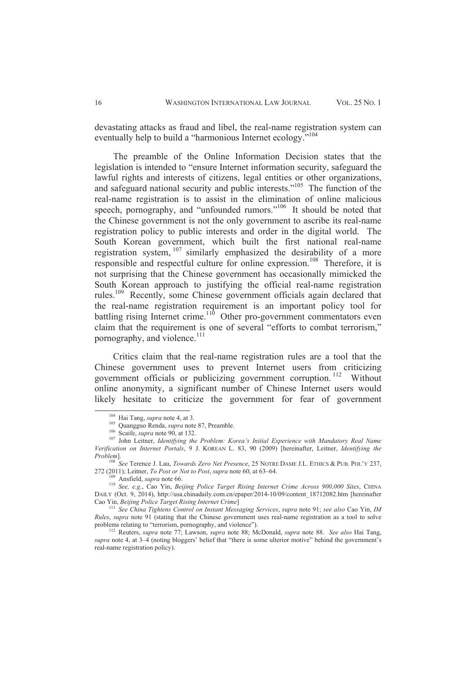devastating attacks as fraud and libel, the real-name registration system can eventually help to build a "harmonious Internet ecology."<sup>104</sup>

The preamble of the Online Information Decision states that the legislation is intended to "ensure Internet information security, safeguard the lawful rights and interests of citizens, legal entities or other organizations, and safeguard national security and public interests."<sup>105</sup> The function of the real-name registration is to assist in the elimination of online malicious speech, pornography, and "unfounded rumors."<sup>106</sup> It should be noted that the Chinese government is not the only government to ascribe its real-name registration policy to public interests and order in the digital world. The South Korean government, which built the first national real-name registration system, <sup>107</sup> similarly emphasized the desirability of a more responsible and respectful culture for online expression.<sup>108</sup> Therefore, it is not surprising that the Chinese government has occasionally mimicked the South Korean approach to justifying the official real-name registration rules.<sup>109</sup> Recently, some Chinese government officials again declared that the real-name registration requirement is an important policy tool for  $b$  battling rising Internet crime.<sup>110</sup> Other pro-government commentators even claim that the requirement is one of several "efforts to combat terrorism," pornography, and violence.<sup>111</sup>

Critics claim that the real-name registration rules are a tool that the Chinese government uses to prevent Internet users from criticizing government officials or publicizing government corruption. <sup>112</sup> Without online anonymity, a significant number of Chinese Internet users would likely hesitate to criticize the government for fear of government

<sup>104</sup> Hai Tang, *supra* note 4, at 3.

<sup>105</sup> Quangguo Renda, *supra* note 87, Preamble.

<sup>106</sup> Scaife, *supra* note 90, at 132.

<sup>107</sup> John Leitner, *Identifying the Problem: Korea's Initial Experience with Mandatory Real Name Verification on Internet Portals*, 9 J. KOREAN L. 83, 90 (2009) [hereinafter, Leitner, *Identifying the Problem*].

<sup>&</sup>lt;sup>108</sup> *See* Terence J. Lau, *Towards Zero Net Presence*, 25 NOTRE DAME J.L. ETHICS & PUB. POL'Y 237, 272 (2011); Leitner, *To Post or Not to Post*, *supra* note 60, at 63–64.

<sup>109</sup> Ansfield, *supra* note 66.

<sup>110</sup> *See, e.g*., Cao Yin, *Beijing Police Target Rising Internet Crime Across 900,000 Sites*, CHINA DAILY (Oct. 9, 2014), http://usa.chinadaily.com.cn/epaper/2014-10/09/content\_18712082.htm [hereinafter Cao Yin, *Beijing Police Target Rising Internet Crime*]

<sup>111</sup> *See China Tightens Control on Instant Messaging Services*, *supra* note 91; *see also* Cao Yin, *IM Rules*, *supra* note 91 (stating that the Chinese government uses real-name registration as a tool to solve problems relating to "terrorism, pornography, and violence").

<sup>112</sup> Reuters, *supra* note 77; Lawson, *supra* note 88; McDonald, *supra* note 88. *See also* Hai Tang, *supra* note 4, at 3–4 (noting bloggers' belief that "there is some ulterior motive" behind the government's real-name registration policy).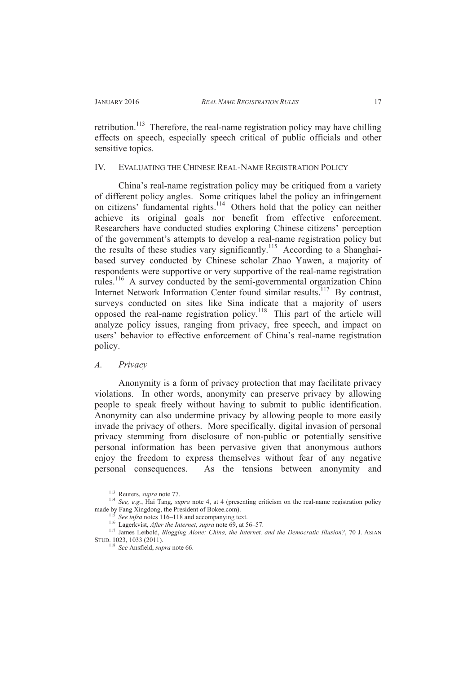retribution.<sup>113</sup> Therefore, the real-name registration policy may have chilling effects on speech, especially speech critical of public officials and other sensitive topics.

#### IV. EVALUATING THE CHINESE REAL-NAME REGISTRATION POLICY

China's real-name registration policy may be critiqued from a variety of different policy angles. Some critiques label the policy an infringement on citizens' fundamental rights.<sup>114</sup> Others hold that the policy can neither achieve its original goals nor benefit from effective enforcement. Researchers have conducted studies exploring Chinese citizens' perception of the government's attempts to develop a real-name registration policy but the results of these studies vary significantly.<sup>115</sup> According to a Shanghaibased survey conducted by Chinese scholar Zhao Yawen, a majority of respondents were supportive or very supportive of the real-name registration rules.<sup>116</sup> A survey conducted by the semi-governmental organization China Internet Network Information Center found similar results.<sup>117</sup> By contrast, surveys conducted on sites like Sina indicate that a majority of users opposed the real-name registration policy.<sup>118</sup> This part of the article will analyze policy issues, ranging from privacy, free speech, and impact on users' behavior to effective enforcement of China's real-name registration policy.

#### *A. Privacy*

Anonymity is a form of privacy protection that may facilitate privacy violations. In other words, anonymity can preserve privacy by allowing people to speak freely without having to submit to public identification. Anonymity can also undermine privacy by allowing people to more easily invade the privacy of others. More specifically, digital invasion of personal privacy stemming from disclosure of non-public or potentially sensitive personal information has been pervasive given that anonymous authors enjoy the freedom to express themselves without fear of any negative personal consequences. As the tensions between anonymity and

<sup>113</sup> Reuters, *supra* note 77.

<sup>114</sup> *See, e.g.*, Hai Tang, *supra* note 4, at 4 (presenting criticism on the real-name registration policy made by Fang Xingdong, the President of Bokee.com).

See infra notes 116–118 and accompanying text.

<sup>116</sup> Lagerkvist, *After the Internet*, *supra* note 69, at 56–57.

<sup>117</sup> James Leibold, *Blogging Alone: China, the Internet, and the Democratic Illusion?*, 70 J. ASIAN STUD. 1023, 1033 (2011).

<sup>118</sup> *See* Ansfield, *supra* note 66.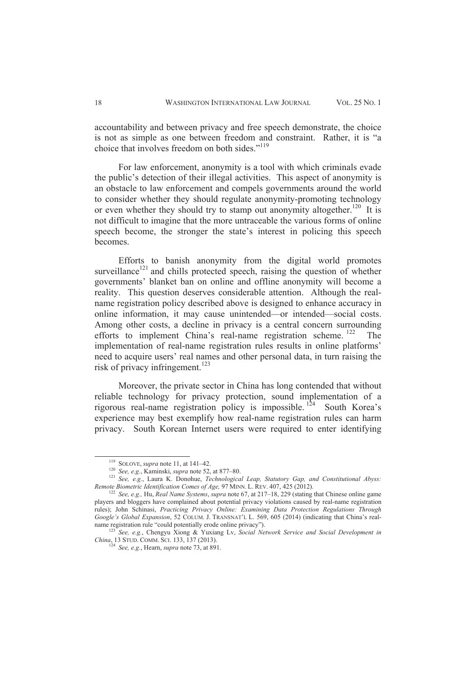accountability and between privacy and free speech demonstrate, the choice is not as simple as one between freedom and constraint. Rather, it is "a choice that involves freedom on both sides."<sup>119</sup>

For law enforcement, anonymity is a tool with which criminals evade the public's detection of their illegal activities. This aspect of anonymity is an obstacle to law enforcement and compels governments around the world to consider whether they should regulate anonymity-promoting technology or even whether they should try to stamp out anonymity altogether.<sup>120</sup> It is not difficult to imagine that the more untraceable the various forms of online speech become, the stronger the state's interest in policing this speech becomes.

Efforts to banish anonymity from the digital world promotes surveillance<sup>121</sup> and chills protected speech, raising the question of whether governments' blanket ban on online and offline anonymity will become a reality. This question deserves considerable attention. Although the realname registration policy described above is designed to enhance accuracy in online information, it may cause unintended—or intended—social costs. Among other costs, a decline in privacy is a central concern surrounding efforts to implement China's real-name registration scheme. <sup>122</sup> The implementation of real-name registration rules results in online platforms' need to acquire users' real names and other personal data, in turn raising the risk of privacy infringement.<sup>123</sup>

Moreover, the private sector in China has long contended that without reliable technology for privacy protection, sound implementation of a rigorous real-name registration policy is impossible.<sup>124</sup> South Korea's experience may best exemplify how real-name registration rules can harm privacy. South Korean Internet users were required to enter identifying

<sup>119</sup> SOLOVE, *supra* note 11, at 141–42.

<sup>120</sup> *See, e.g.*, Kaminski, *supra* note 52, at 877–80.

<sup>121</sup> *See, e.g.*, Laura K. Donohue, *Technological Leap, Statutory Gap, and Constitutional Abyss: Remote Biometric Identification Comes of Age,* 97 MINN. L. REV. 407, 425 (2012).

<sup>122</sup> *See, e.g.,* Hu, *Real Name Systems*, *supra* note 67, at 217–18, 229 (stating that Chinese online game players and bloggers have complained about potential privacy violations caused by real-name registration rules); John Schinasi, *Practicing Privacy Online: Examining Data Protection Regulations Through Google's Global Expansion*, 52 COLUM. J. TRANSNAT'L L. 569, 605 (2014) (indicating that China's realname registration rule "could potentially erode online privacy").

<sup>123</sup> *See, e.g.*, Chengyu Xiong & Yuxiang Lv, *Social Network Service and Social Development in China*, 13 STUD. COMM. SCI. 133, 137 (2013).

 $^4$  *See, e.g.*, Hearn, *supra* note 73, at 891.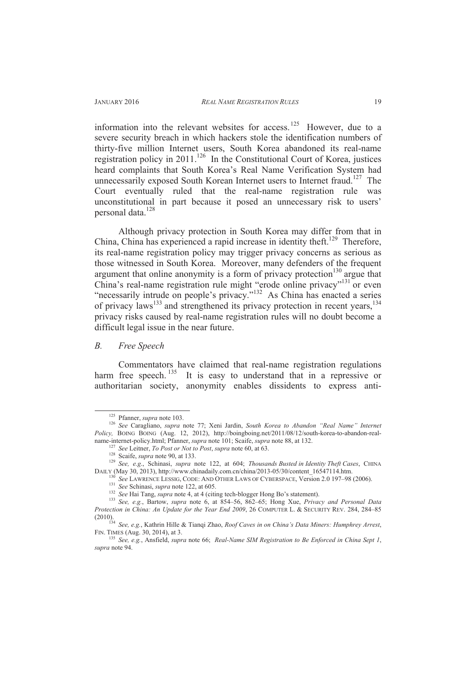information into the relevant websites for access.<sup>125</sup> However, due to a severe security breach in which hackers stole the identification numbers of thirty-five million Internet users, South Korea abandoned its real-name registration policy in 2011.<sup>126</sup> In the Constitutional Court of Korea, justices heard complaints that South Korea's Real Name Verification System had unnecessarily exposed South Korean Internet users to Internet fraud.<sup>127</sup> The Court eventually ruled that the real-name registration rule was unconstitutional in part because it posed an unnecessary risk to users' personal data.<sup>128</sup>

Although privacy protection in South Korea may differ from that in China, China has experienced a rapid increase in identity theft.<sup>129</sup> Therefore, its real-name registration policy may trigger privacy concerns as serious as those witnessed in South Korea. Moreover, many defenders of the frequent argument that online anonymity is a form of privacy protection<sup>130</sup> argue that China's real-name registration rule might "erode online privacy"<sup>131</sup> or even "necessarily intrude on people's privacy."<sup>132</sup> As China has enacted a series of privacy laws<sup>133</sup> and strengthened its privacy protection in recent years,<sup>134</sup> privacy risks caused by real-name registration rules will no doubt become a difficult legal issue in the near future.

#### *B. Free Speech*

 $\overline{a}$ 

Commentators have claimed that real-name registration regulations harm free speech. <sup>135</sup> It is easy to understand that in a repressive or authoritarian society, anonymity enables dissidents to express anti-

<sup>125</sup> Pfanner, *supra* note 103.

<sup>126</sup> *See* Caragliano, *supra* note 77; Xeni Jardin, *South Korea to Abandon "Real Name" Internet*  Policy, BOING BOING (Aug. 12, 2012), http://boingboing.net/2011/08/12/south-korea-to-abandon-realname-internet-policy.html; Pfanner, *supra* note 101; Scaife, *supra* note 88, at 132.

<sup>&</sup>lt;sup>1</sup> See Leitner, *To Post or Not to Post*, *supra* note 60, at 63.

<sup>&</sup>lt;sup>128</sup> Scaife, *supra* note 90, at 133.

<sup>129</sup> *See, e.g*., Schinasi, *supra* note 122, at 604; *Thousands Busted in Identity Theft Cases*, CHINA DAILY (May 30, 2013), http://www.chinadaily.com.cn/china/2013-05/30/content\_16547114.htm.

<sup>130</sup> *See* LAWRENCE LESSIG, CODE: AND OTHER LAWS OF CYBERSPACE, Version 2.0 197–98 (2006). <sup>131</sup> *See* Schinasi, *supra* note 122, at 605.

<sup>132</sup> *See* Hai Tang, *supra* note 4, at 4 (citing tech-blogger Hong Bo's statement).

<sup>133</sup> *See, e.g.*, Bartow, *supra* note 6, at 854–56, 862–65; Hong Xue, *Privacy and Personal Data Protection in China: An Update for the Year End 2009*, 26 COMPUTER L. & SECURITY REV. 284, 284–85 (2010).

<sup>134</sup> *See, e.g.*, Kathrin Hille & Tianqi Zhao, *Roof Caves in on China's Data Miners: Humphrey Arrest*, FIN. TIMES (Aug. 30, 2014), at 3.

<sup>135</sup> *See, e.g.*, Ansfield, *supra* note 66; *Real-Name SIM Registration to Be Enforced in China Sept 1*, *supra* note 94.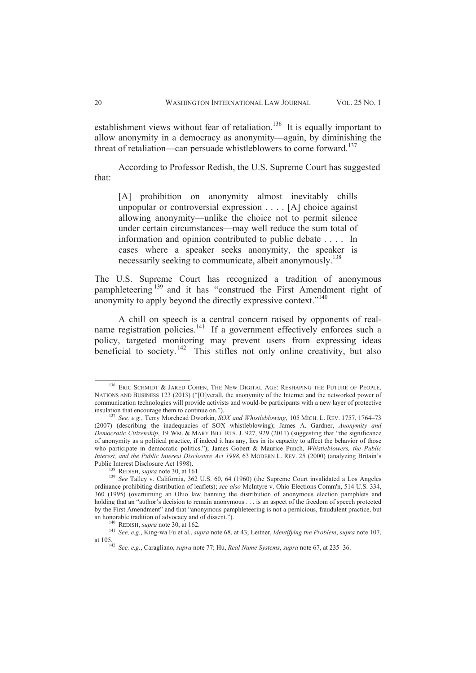establishment views without fear of retaliation.<sup>136</sup> It is equally important to allow anonymity in a democracy as anonymity—again, by diminishing the threat of retaliation—can persuade whistleblowers to come forward.<sup>137</sup>

According to Professor Redish, the U.S. Supreme Court has suggested that:

[A] prohibition on anonymity almost inevitably chills unpopular or controversial expression . . . . [A] choice against allowing anonymity—unlike the choice not to permit silence under certain circumstances—may well reduce the sum total of information and opinion contributed to public debate . . . . In cases where a speaker seeks anonymity, the speaker is necessarily seeking to communicate, albeit anonymously.<sup>138</sup>

The U.S. Supreme Court has recognized a tradition of anonymous pamphleteering<sup>139</sup> and it has "construed the First Amendment right of anonymity to apply beyond the directly expressive context."<sup>140</sup>

A chill on speech is a central concern raised by opponents of realname registration policies.<sup>141</sup> If a government effectively enforces such a policy, targeted monitoring may prevent users from expressing ideas beneficial to society.<sup>142</sup> This stifles not only online creativity, but also

<sup>&</sup>lt;sup>136</sup> ERIC SCHMIDT & JARED COHEN, THE NEW DIGITAL AGE: RESHAPING THE FUTURE OF PEOPLE, NATIONS AND BUSINESS 123 (2013) ("[O]verall, the anonymity of the Internet and the networked power of communication technologies will provide activists and would-be participants with a new layer of protective insulation that encourage them to continue on.").

<sup>137</sup> *See, e.g.*, Terry Morehead Dworkin, *SOX and Whistleblowing*, 105 MICH. L. REV. 1757, 1764–73 (2007) (describing the inadequacies of SOX whistleblowing); James A. Gardner, *Anonymity and Democratic Citizenship*, 19 WM. & MARY BILL RTS. J. 927, 929 (2011) (suggesting that "the significance of anonymity as a political practice, if indeed it has any, lies in its capacity to affect the behavior of those who participate in democratic politics."); James Gobert & Maurice Punch, *Whistleblowers, the Public Interest, and the Public Interest Disclosure Act 1998*, 63 MODERN L. REV. 25 (2000) (analyzing Britain's Public Interest Disclosure Act 1998).

 $3$  REDISH, *supra* note 30, at 161.

<sup>139</sup> *See* Talley v. California, 362 U.S. 60, 64 (1960) (the Supreme Court invalidated a Los Angeles ordinance prohibiting distribution of leaflets); *see also* McIntyre v. Ohio Elections Comm'n, 514 U.S. 334, 360 (1995) (overturning an Ohio law banning the distribution of anonymous election pamphlets and holding that an "author's decision to remain anonymous . . . is an aspect of the freedom of speech protected by the First Amendment" and that "anonymous pamphleteering is not a pernicious, fraudulent practice, but an honorable tradition of advocacy and of dissent.").

REDISH, *supra* note 30, at 162.

<sup>141</sup> *See, e.g.*, King-wa Fu et al., *supra* note 68, at 43; Leitner, *Identifying the Problem*, *supra* note 107, at 105.

<sup>142</sup> *See, e.g.*, Caragliano, *supra* note 77; Hu, *Real Name Systems*, *supra* note 67, at 235–36.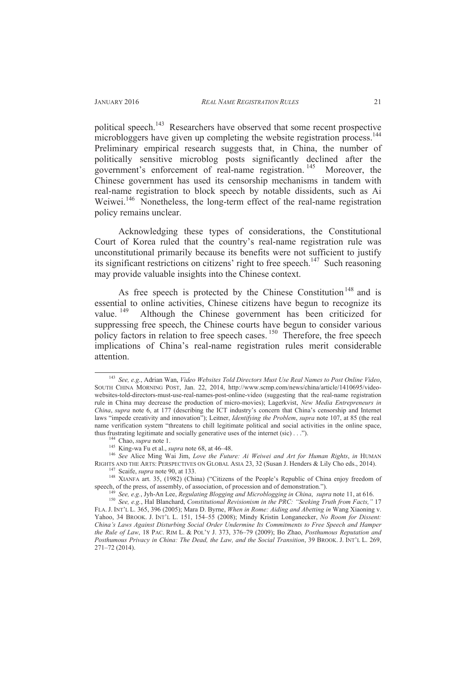political speech.<sup>143</sup> Researchers have observed that some recent prospective microbloggers have given up completing the website registration process.<sup>144</sup> Preliminary empirical research suggests that, in China, the number of politically sensitive microblog posts significantly declined after the government's enforcement of real-name registration. <sup>145</sup> Moreover, the Chinese government has used its censorship mechanisms in tandem with real-name registration to block speech by notable dissidents, such as Ai Weiwei.<sup>146</sup> Nonetheless, the long-term effect of the real-name registration policy remains unclear.

Acknowledging these types of considerations, the Constitutional Court of Korea ruled that the country's real-name registration rule was unconstitutional primarily because its benefits were not sufficient to justify its significant restrictions on citizens' right to free speech.<sup>147</sup> Such reasoning may provide valuable insights into the Chinese context.

As free speech is protected by the Chinese Constitution<sup>148</sup> and is essential to online activities, Chinese citizens have begun to recognize its value. <sup>149</sup> Although the Chinese government has been criticized for Although the Chinese government has been criticized for suppressing free speech, the Chinese courts have begun to consider various policy factors in relation to free speech cases.<sup>150</sup> Therefore, the free speech implications of China's real-name registration rules merit considerable attention.

<sup>143</sup> *See, e.g.*, Adrian Wan, *Video Websites Told Directors Must Use Real Names to Post Online Video*, SOUTH CHINA MORNING POST, Jan. 22, 2014, http://www.scmp.com/news/china/article/1410695/videowebsites-told-directors-must-use-real-names-post-online-video (suggesting that the real-name registration rule in China may decrease the production of micro-movies); Lagerkvist, *New Media Entrepreneurs in China*, *supra* note 6, at 177 (describing the ICT industry's concern that China's censorship and Internet laws "impede creativity and innovation"); Leitner, *Identifying the Problem*, *supra* note 107, at 85 (the real name verification system "threatens to chill legitimate political and social activities in the online space, thus frustrating legitimate and socially generative uses of the internet (sic) . . .").

Chao, *supra* note 1.

<sup>145</sup> King-wa Fu et al., *supra* note 68, at 46–48.

<sup>146</sup> *See* Alice Ming Wai Jim, *Love the Future: Ai Weiwei and Art for Human Rights*, *in* HUMAN RIGHTS AND THE ARTS: PERSPECTIVES ON GLOBAL ASIA 23, 32 (Susan J. Henders & Lily Cho eds., 2014). <sup>147</sup> Scaife, *supra* note 90, at 133.

<sup>148</sup> XIANFA art. 35, (1982) (China) ("Citizens of the People's Republic of China enjoy freedom of speech, of the press, of assembly, of association, of procession and of demonstration.").

<sup>149</sup> *See, e.g.*, Jyh-An Lee, *Regulating Blogging and Microblogging in China*, *supra* note 11, at 616.

<sup>150</sup> *See, e.g.*, Hal Blanchard, *Constitutional Revisionism in the PRC: "Seeking Truth from Facts,"* 17 FLA. J. INT'L L. 365, 396 (2005); Mara D. Byrne, *When in Rome: Aiding and Abetting in* Wang Xiaoning v. Yahoo, 34 BROOK. J. INT'L L. 151, 154–55 (2008); Mindy Kristin Longanecker, *No Room for Dissent: China's Laws Against Disturbing Social Order Undermine Its Commitments to Free Speech and Hamper the Rule of Law*, 18 PAC. RIM L. & POL'Y J. 373, 376–79 (2009); Bo Zhao, *Posthumous Reputation and Posthumous Privacy in China: The Dead, the Law, and the Social Transition*, 39 BROOK. J. INT'L L. 269, 271–72 (2014).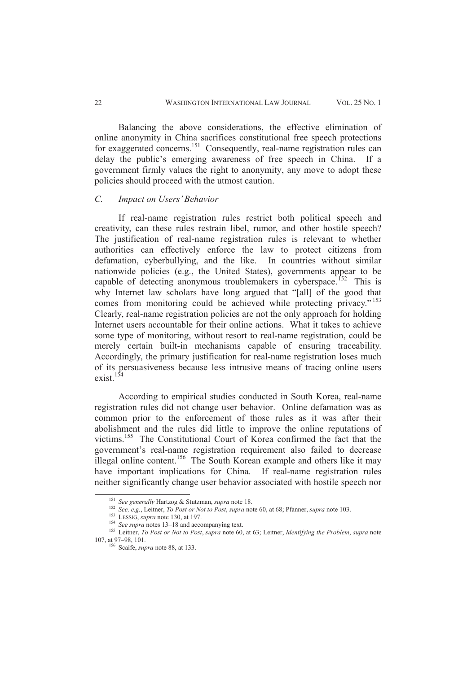Balancing the above considerations, the effective elimination of online anonymity in China sacrifices constitutional free speech protections for exaggerated concerns.<sup>151</sup> Consequently, real-name registration rules can delay the public's emerging awareness of free speech in China. If a government firmly values the right to anonymity, any move to adopt these policies should proceed with the utmost caution.

#### *C. Impact on Users' Behavior*

If real-name registration rules restrict both political speech and creativity, can these rules restrain libel, rumor, and other hostile speech? The justification of real-name registration rules is relevant to whether authorities can effectively enforce the law to protect citizens from defamation, cyberbullying, and the like. In countries without similar nationwide policies (e.g., the United States), governments appear to be capable of detecting anonymous troublemakers in cyberspace.<sup>152</sup> This is why Internet law scholars have long argued that "[all] of the good that comes from monitoring could be achieved while protecting privacy."<sup>153</sup> Clearly, real-name registration policies are not the only approach for holding Internet users accountable for their online actions. What it takes to achieve some type of monitoring, without resort to real-name registration, could be merely certain built-in mechanisms capable of ensuring traceability. Accordingly, the primary justification for real-name registration loses much of its persuasiveness because less intrusive means of tracing online users exist.<sup>154</sup>

According to empirical studies conducted in South Korea, real-name registration rules did not change user behavior. Online defamation was as common prior to the enforcement of those rules as it was after their abolishment and the rules did little to improve the online reputations of victims.<sup>155</sup> The Constitutional Court of Korea confirmed the fact that the government's real-name registration requirement also failed to decrease illegal online content.<sup>156</sup> The South Korean example and others like it may have important implications for China. If real-name registration rules neither significantly change user behavior associated with hostile speech nor

<sup>151</sup> *See generally* Hartzog & Stutzman, *supra* note 18.

<sup>152</sup> *See, e.g.*, Leitner, *To Post or Not to Post*, *supra* note 60, at 68; Pfanner, *supra* note 103.

<sup>153</sup> LESSIG, *supra* note 130, at 197.

<sup>154</sup> *See supra* notes 13–18 and accompanying text.

<sup>155</sup> Leitner, *To Post or Not to Post*, *supra* note 60, at 63; Leitner, *Identifying the Problem*, *supra* note 107, at 97–98, 101.

<sup>156</sup> Scaife, *supra* note 88, at 133.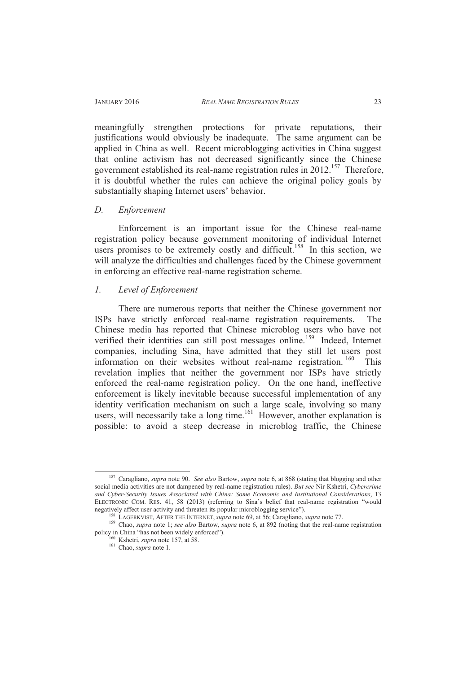meaningfully strengthen protections for private reputations, their justifications would obviously be inadequate. The same argument can be applied in China as well. Recent microblogging activities in China suggest that online activism has not decreased significantly since the Chinese government established its real-name registration rules in 2012.<sup>157</sup> Therefore, it is doubtful whether the rules can achieve the original policy goals by substantially shaping Internet users' behavior.

#### *D. Enforcement*

Enforcement is an important issue for the Chinese real-name registration policy because government monitoring of individual Internet users promises to be extremely costly and difficult.<sup>158</sup> In this section, we will analyze the difficulties and challenges faced by the Chinese government in enforcing an effective real-name registration scheme.

## *1. Level of Enforcement*

There are numerous reports that neither the Chinese government nor ISPs have strictly enforced real-name registration requirements. The Chinese media has reported that Chinese microblog users who have not verified their identities can still post messages online.<sup>159</sup> Indeed, Internet companies, including Sina, have admitted that they still let users post information on their websites without real-name registration. <sup>160</sup> This revelation implies that neither the government nor ISPs have strictly enforced the real-name registration policy. On the one hand, ineffective enforcement is likely inevitable because successful implementation of any identity verification mechanism on such a large scale, involving so many users, will necessarily take a long time.<sup>161</sup> However, another explanation is possible: to avoid a steep decrease in microblog traffic, the Chinese

<sup>157</sup> Caragliano, *supra* note 90. *See also* Bartow, *supra* note 6, at 868 (stating that blogging and other social media activities are not dampened by real-name registration rules). *But see* Nir Kshetri, *Cybercrime and Cyber-Security Issues Associated with China: Some Economic and Institutional Considerations*, 13 ELECTRONIC COM. RES. 41, 58 (2013) (referring to Sina's belief that real-name registration "would negatively affect user activity and threaten its popular microblogging service").

<sup>158</sup> LAGERKVIST, AFTER THE INTERNET, *supra* note 69, at 56; Caragliano, *supra* note 77.

<sup>159</sup> Chao, *supra* note 1; *see also* Bartow, *supra* note 6, at 892 (noting that the real-name registration policy in China "has not been widely enforced").

<sup>160</sup> Kshetri, *supra* note 157, at 58. <sup>161</sup> Chao, *supra* note 1.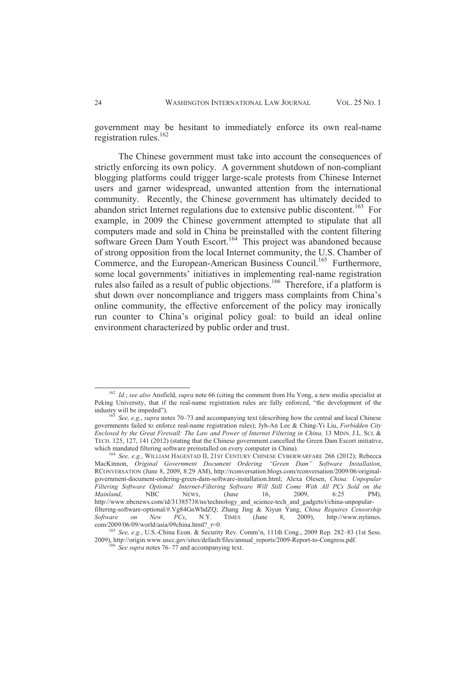government may be hesitant to immediately enforce its own real-name registration rules.<sup>162</sup>

The Chinese government must take into account the consequences of strictly enforcing its own policy. A government shutdown of non-compliant blogging platforms could trigger large-scale protests from Chinese Internet users and garner widespread, unwanted attention from the international community. Recently, the Chinese government has ultimately decided to abandon strict Internet regulations due to extensive public discontent.<sup>163</sup> For example, in 2009 the Chinese government attempted to stipulate that all computers made and sold in China be preinstalled with the content filtering software Green Dam Youth Escort.<sup>164</sup> This project was abandoned because of strong opposition from the local Internet community, the U.S. Chamber of Commerce, and the European-American Business Council.<sup>165</sup> Furthermore, some local governments' initiatives in implementing real-name registration rules also failed as a result of public objections.<sup>166</sup> Therefore, if a platform is shut down over noncompliance and triggers mass complaints from China's online community, the effective enforcement of the policy may ironically run counter to China's original policy goal: to build an ideal online environment characterized by public order and trust.

<sup>162</sup> *Id.*; *see also* Ansfield, *supra* note 66 (citing the comment from Hu Yong, a new media specialist at Peking University, that if the real-name registration rules are fully enforced, "the development of the industry will be impeded").

<sup>163</sup> *See, e.g*., *supra* notes 70–73 and accompanying text (describing how the central and local Chinese governments failed to enforce real-name registration rules); Jyh-An Lee & Ching-Yi Liu, *Forbidden City Enclosed by the Great Firewall: The Law and Power of Internet Filtering in China,* 13 MINN. J.L. SCI. & TECH. 125, 127, 141 (2012) (stating that the Chinese government cancelled the Green Dam Escort initiative, which mandated filtering software preinstalled on every computer in China).

<sup>164</sup> *See, e.g.*, WILLIAM HAGESTAD II, 21ST CENTURY CHINESE CYBERWARFARE 266 (2012); Rebecca MacKinnon, *Original Government Document Ordering "Green Dam" Software Installation*, RCONVERSATION (June 8, 2009, 8:29 AM), http://rconversation.blogs.com/rconversation/2009/06/originalgovernment-document-ordering-green-dam-software-installation.html; Alexa Olesen, *China: Unpopular Filtering Software Optional: Internet-Filtering Software Will Still Come With All PCs Sold on the Mainland,* NBC NEWS, (June 16, 2009, 6:25 PM), *Mainland*, NBC NEWS, (June 16, 2009, 6:25 PM), http://www.nbcnews.com/id/31385738/ns/technology\_and\_science-tech\_and\_gadgets/t/china-unpopularfiltering-software-optional/#.Vg84GnWhdZQ; Zhang Jing & Xiyun Yang, *China Requires Censorship Software on New PCs*, N.Y. TIMES (June 8, 2009), http://www.nytimes. com/2009/06/09/world/asia/09china.html?\_r=0.

<sup>165</sup> *See, e.g.*, U.S.-China Econ. & Security Rev. Comm'n, 111th Cong., 2009 Rep. 282–83 (1st Sess. 2009), http://origin.www.uscc.gov/sites/default/files/annual\_reports/2009-Report-to-Congress.pdf.

 $\overline{5}$  *See supra* notes 76–77 and accompanying text.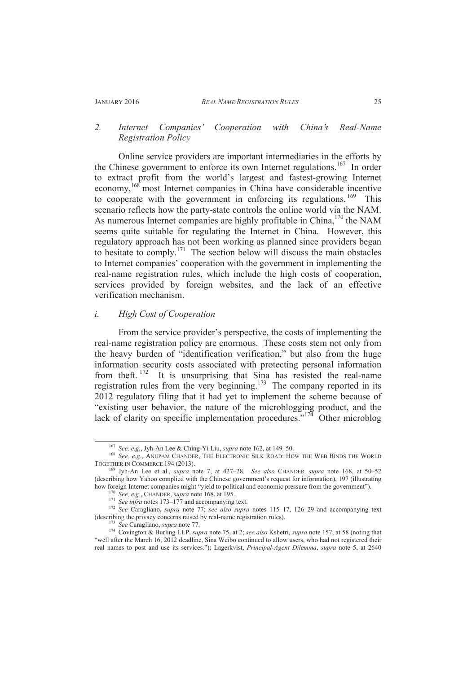# *2. Internet Companies' Cooperation with China's Real-Name Registration Policy*

Online service providers are important intermediaries in the efforts by the Chinese government to enforce its own Internet regulations.<sup>167</sup> In order to extract profit from the world's largest and fastest-growing Internet economy,<sup>168</sup> most Internet companies in China have considerable incentive to cooperate with the government in enforcing its regulations.  $169$  This scenario reflects how the party-state controls the online world via the NAM. As numerous Internet companies are highly profitable in China,<sup>170</sup> the NAM seems quite suitable for regulating the Internet in China. However, this regulatory approach has not been working as planned since providers began to hesitate to comply.<sup>171</sup> The section below will discuss the main obstacles to Internet companies' cooperation with the government in implementing the real-name registration rules, which include the high costs of cooperation, services provided by foreign websites, and the lack of an effective verification mechanism.

#### *i. High Cost of Cooperation*

From the service provider's perspective, the costs of implementing the real-name registration policy are enormous. These costs stem not only from the heavy burden of "identification verification," but also from the huge information security costs associated with protecting personal information from theft.  $172$  It is unsurprising that Sina has resisted the real-name registration rules from the very beginning.<sup>173</sup> The company reported in its 2012 regulatory filing that it had yet to implement the scheme because of "existing user behavior, the nature of the microblogging product, and the lack of clarity on specific implementation procedures."<sup>174</sup> Other microblog

<sup>167</sup> *See, e.g.*, Jyh-An Lee & Ching-Yi Liu, *supra* note 162, at 149–50.

<sup>168</sup> *See, e.g.*, ANUPAM CHANDER, THE ELECTRONIC SILK ROAD: HOW THE WEB BINDS THE WORLD TOGETHER IN COMMERCE 194 (2013).

<sup>169</sup> Jyh-An Lee et al., *supra* note 7, at 427–28. *See also* CHANDER*, supra* note 168, at 50–52 (describing how Yahoo complied with the Chinese government's request for information), 197 (illustrating how foreign Internet companies might "yield to political and economic pressure from the government").

<sup>170</sup> *See, e.g.*, CHANDER, *supra* note 168, at 195.

<sup>&</sup>lt;sup>171</sup> *See infra* notes 173–177 and accompanying text.

<sup>172</sup> *See* Caragliano, *supra* note 77; *see also supra* notes 115–17, 126–29 and accompanying text (describing the privacy concerns raised by real-name registration rules).

<sup>173</sup> *See* Caragliano, *supra* note 77.

<sup>174</sup> Covington & Burling LLP, *supra* note 75, at 2; *see also* Kshetri, *supra* note 157, at 58 (noting that "well after the March 16, 2012 deadline, Sina Weibo continued to allow users, who had not registered their real names to post and use its services."); Lagerkvist, *Principal-Agent Dilemma*, *supra* note 5, at 2640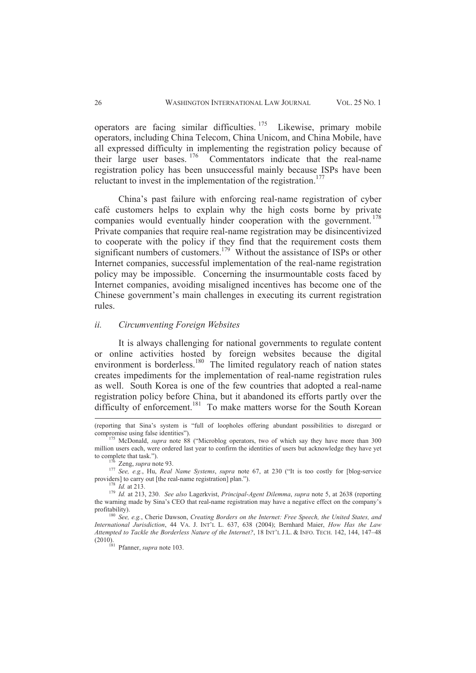operators are facing similar difficulties.  $175$  Likewise, primary mobile operators, including China Telecom, China Unicom, and China Mobile, have all expressed difficulty in implementing the registration policy because of their large user bases. <sup>176</sup> Commentators indicate that the real-name registration policy has been unsuccessful mainly because ISPs have been reluctant to invest in the implementation of the registration.<sup>177</sup>

China's past failure with enforcing real-name registration of cyber café customers helps to explain why the high costs borne by private companies would eventually hinder cooperation with the government.<sup>178</sup> Private companies that require real-name registration may be disincentivized to cooperate with the policy if they find that the requirement costs them significant numbers of customers.<sup>179</sup> Without the assistance of ISPs or other Internet companies, successful implementation of the real-name registration policy may be impossible. Concerning the insurmountable costs faced by Internet companies, avoiding misaligned incentives has become one of the Chinese government's main challenges in executing its current registration rules.

#### *ii. Circumventing Foreign Websites*

It is always challenging for national governments to regulate content or online activities hosted by foreign websites because the digital environment is borderless.<sup>180</sup> The limited regulatory reach of nation states creates impediments for the implementation of real-name registration rules as well. South Korea is one of the few countries that adopted a real-name registration policy before China, but it abandoned its efforts partly over the difficulty of enforcement.<sup>181</sup> To make matters worse for the South Korean

<sup>(</sup>reporting that Sina's system is "full of loopholes offering abundant possibilities to disregard or compromise using false identities").

<sup>175</sup> McDonald, *supra* note 88 ("Microblog operators, two of which say they have more than 300 million users each, were ordered last year to confirm the identities of users but acknowledge they have yet to complete that task.").

<sup>176</sup> Zeng, *supra* note 93.

<sup>177</sup> *See, e.g.*, Hu, *Real Name Systems*, *supra* note 67, at 230 ("It is too costly for [blog-service providers] to carry out [the real-name registration] plan.").

<sup>178</sup> *Id.* at 213.

<sup>179</sup> *Id.* at 213, 230. *See also* Lagerkvist, *Principal-Agent Dilemma*, *supra* note 5, at 2638 (reporting the warning made by Sina's CEO that real-name registration may have a negative effect on the company's profitability).

<sup>180</sup> *See, e.g.*, Cherie Dawson, *Creating Borders on the Internet: Free Speech, the United States, and International Jurisdiction*, 44 VA. J. INT'L L. 637, 638 (2004); Bernhard Maier, *How Has the Law Attempted to Tackle the Borderless Nature of the Internet?*, 18 INT'L J.L. & INFO. TECH. 142, 144, 147–48 (2010).

<sup>181</sup> Pfanner, *supra* note 103.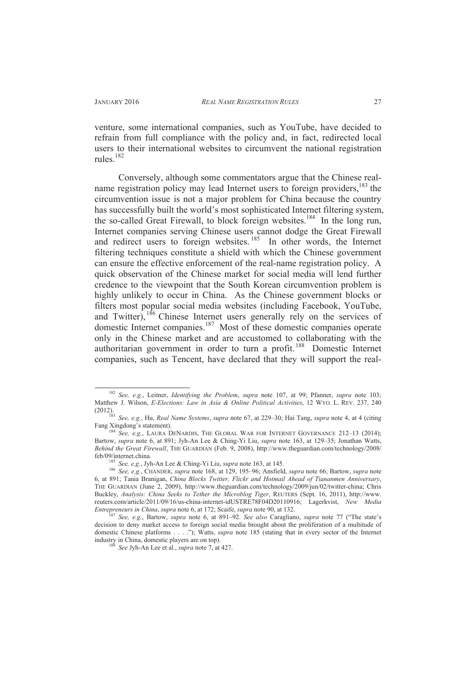$\overline{a}$ 

venture, some international companies, such as YouTube, have decided to refrain from full compliance with the policy and, in fact, redirected local users to their international websites to circumvent the national registration rules.<sup>182</sup>

Conversely, although some commentators argue that the Chinese realname registration policy may lead Internet users to foreign providers,  $183$  the circumvention issue is not a major problem for China because the country has successfully built the world's most sophisticated Internet filtering system, the so-called Great Firewall, to block foreign websites.<sup>184</sup> In the long run, Internet companies serving Chinese users cannot dodge the Great Firewall and redirect users to foreign websites.<sup>185</sup> In other words, the Internet filtering techniques constitute a shield with which the Chinese government can ensure the effective enforcement of the real-name registration policy. A quick observation of the Chinese market for social media will lend further credence to the viewpoint that the South Korean circumvention problem is highly unlikely to occur in China. As the Chinese government blocks or filters most popular social media websites (including Facebook, YouTube, and Twitter), <sup>186</sup> Chinese Internet users generally rely on the services of domestic Internet companies.<sup>187</sup> Most of these domestic companies operate only in the Chinese market and are accustomed to collaborating with the authoritarian government in order to turn a profit.<sup>188</sup> Domestic Internet companies, such as Tencent, have declared that they will support the real-

<sup>182</sup> *See, e.g.*, Leitner, *Identifying the Problem*, *supra* note 107, at 99; Pfanner, *supra* note 103; Matthew J. Wilson, *E-Elections: Law in Asia & Online Political Activities*, 12 WYO. L. REV. 237, 240 (2012).

<sup>183</sup> *See, e.g.*, Hu, *Real Name Systems*, *supra* note 67, at 229–30; Hai Tang, *supra* note 4, at 4 (citing Fang Xingdong's statement).

<sup>&</sup>lt;sup>184</sup> See, e.g., LAURA DENARDIS, THE GLOBAL WAR FOR INTERNET GOVERNANCE 212-13 (2014); Bartow, *supra* note 6, at 891; Jyh-An Lee & Ching-Yi Liu, *supra* note 163, at 129–35; Jonathan Watts, *Behind the Great Firewall*, THE GUARDIAN (Feb. 9, 2008), http://www.theguardian.com/technology/2008/ feb/09/internet.china.

<sup>185</sup> *See, e.g.*, Jyh-An Lee & Ching-Yi Liu, *supra* note 163, at 145.

<sup>186</sup> *See, e.g.*, CHANDER, *supra* note 168, at 129, 195–96; Ansfield, *supra* note 66; Bartow, *supra* note 6, at 891; Tania Branigan, *China Blocks Twitter, Flickr and Hotmail Ahead of Tiananmen Anniversary*, THE GUARDIAN (June 2, 2009), http://www.theguardian.com/technology/2009/jun/02/twitter-china; Chris Buckley, *Analysis: China Seeks to Tether the Microblog Tiger*, REUTERS (Sept. 16, 2011), http://www. reuters.com/article/2011/09/16/us-china-internet-idUSTRE78F04D20110916; Lagerkvist, *New Media Entrepreneurs in China*, *supra* note 6, at 172; Scaife, *supra* note 90, at 132.

<sup>187</sup> *See, e.g.*, Bartow, *supra* note 6, at 891–92. *See also* Caragliano, *supra* note 77 ("The state's decision to deny market access to foreign social media brought about the proliferation of a multitude of domestic Chinese platforms . . . ."); Watts, *supra* note 185 (stating that in every sector of the Internet industry in China, domestic players are on top).

See Jyh-An Lee et al., *supra* note 7, at 427.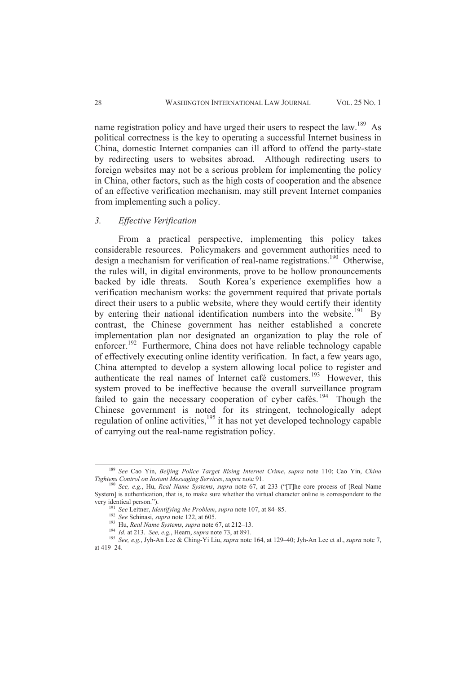name registration policy and have urged their users to respect the law.<sup>189</sup> As political correctness is the key to operating a successful Internet business in China, domestic Internet companies can ill afford to offend the party-state by redirecting users to websites abroad. Although redirecting users to foreign websites may not be a serious problem for implementing the policy in China, other factors, such as the high costs of cooperation and the absence of an effective verification mechanism, may still prevent Internet companies from implementing such a policy.

#### *3. Effective Verification*

From a practical perspective, implementing this policy takes considerable resources. Policymakers and government authorities need to design a mechanism for verification of real-name registrations.<sup>190</sup> Otherwise, the rules will, in digital environments, prove to be hollow pronouncements backed by idle threats. South Korea's experience exemplifies how a verification mechanism works: the government required that private portals direct their users to a public website, where they would certify their identity by entering their national identification numbers into the website.<sup>191</sup> By contrast, the Chinese government has neither established a concrete implementation plan nor designated an organization to play the role of enforcer.<sup>192</sup> Furthermore, China does not have reliable technology capable of effectively executing online identity verification. In fact, a few years ago, China attempted to develop a system allowing local police to register and authenticate the real names of Internet café customers.<sup>193</sup> However, this system proved to be ineffective because the overall surveillance program failed to gain the necessary cooperation of cyber cafés.<sup>194</sup> Though the Chinese government is noted for its stringent, technologically adept regulation of online activities,<sup>195</sup> it has not yet developed technology capable of carrying out the real-name registration policy.

<sup>189</sup> *See* Cao Yin, *Beijing Police Target Rising Internet Crime*, *supra* note 110; Cao Yin, *China Tightens Control on Instant Messaging Services*, *supra* note 91.

<sup>190</sup> *See, e.g.*, Hu, *Real Name Systems*, *supra* note 67, at 233 ("[T]he core process of [Real Name System] is authentication, that is, to make sure whether the virtual character online is correspondent to the very identical person.").

<sup>191</sup> *See* Leitner, *Identifying the Problem*, *supra* note 107, at 84–85.

<sup>192</sup> *See* Schinasi, *supra* note 122, at 605.

<sup>193</sup> Hu, *Real Name Systems*, *supra* note 67, at 212–13.

<sup>194</sup> *Id.* at 213. *See, e.g.*, Hearn, *supra* note 73, at 891.

<sup>195</sup> *See, e.g.*, Jyh-An Lee & Ching-Yi Liu, *supra* note 164, at 129–40; Jyh-An Lee et al., *supra* note 7, at 419–24.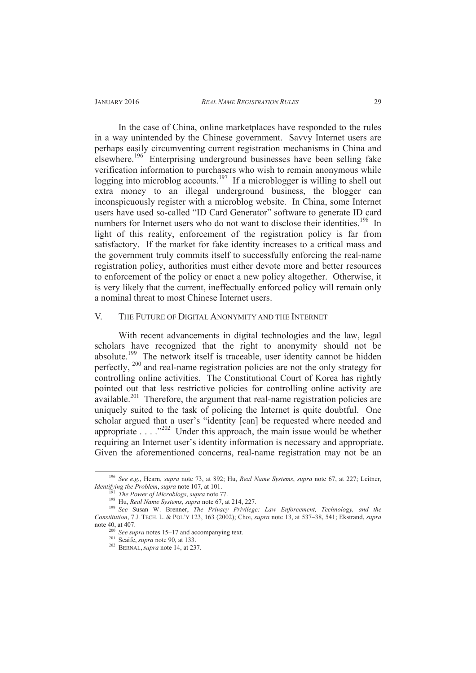In the case of China, online marketplaces have responded to the rules in a way unintended by the Chinese government. Savvy Internet users are perhaps easily circumventing current registration mechanisms in China and elsewhere.<sup>196</sup> Enterprising underground businesses have been selling fake verification information to purchasers who wish to remain anonymous while logging into microblog accounts.<sup>197</sup> If a microblogger is willing to shell out extra money to an illegal underground business, the blogger can inconspicuously register with a microblog website. In China, some Internet users have used so-called "ID Card Generator" software to generate ID card numbers for Internet users who do not want to disclose their identities.<sup>198</sup> In light of this reality, enforcement of the registration policy is far from satisfactory. If the market for fake identity increases to a critical mass and the government truly commits itself to successfully enforcing the real-name registration policy, authorities must either devote more and better resources to enforcement of the policy or enact a new policy altogether. Otherwise, it is very likely that the current, ineffectually enforced policy will remain only a nominal threat to most Chinese Internet users.

# V. THE FUTURE OF DIGITAL ANONYMITY AND THE INTERNET

With recent advancements in digital technologies and the law, legal scholars have recognized that the right to anonymity should not be absolute.<sup>199</sup> The network itself is traceable, user identity cannot be hidden perfectly, <sup>200</sup> and real-name registration policies are not the only strategy for controlling online activities. The Constitutional Court of Korea has rightly pointed out that less restrictive policies for controlling online activity are  $a$ vailable.<sup>201</sup> Therefore, the argument that real-name registration policies are uniquely suited to the task of policing the Internet is quite doubtful. One scholar argued that a user's "identity [can] be requested where needed and appropriate  $\ldots$  ."<sup>202</sup> Under this approach, the main issue would be whether requiring an Internet user's identity information is necessary and appropriate. Given the aforementioned concerns, real-name registration may not be an

<sup>196</sup> *See e.g.*, Hearn, *supra* note 73, at 892; Hu, *Real Name Systems*, *supra* note 67, at 227; Leitner, *Identifying the Problem*, *supra* note 107, at 101.

<sup>197</sup> *The Power of Microblogs*, *supra* note 77.

<sup>198</sup> Hu, *Real Name Systems*, *supra* note 67, at 214, 227.

<sup>199</sup> *See* Susan W. Brenner, *The Privacy Privilege: Law Enforcement, Technology, and the Constitution*, 7 J. TECH. L. & POL'Y 123, 163 (2002); Choi, *supra* note 13, at 537–38, 541; Ekstrand, *supra* note 40, at 407.

<sup>&</sup>lt;sup>200</sup> *See supra* notes 15–17 and accompanying text.

<sup>201</sup> Scaife, *supra* note 90, at 133.

<sup>202</sup> BERNAL, *supra* note 14, at 237.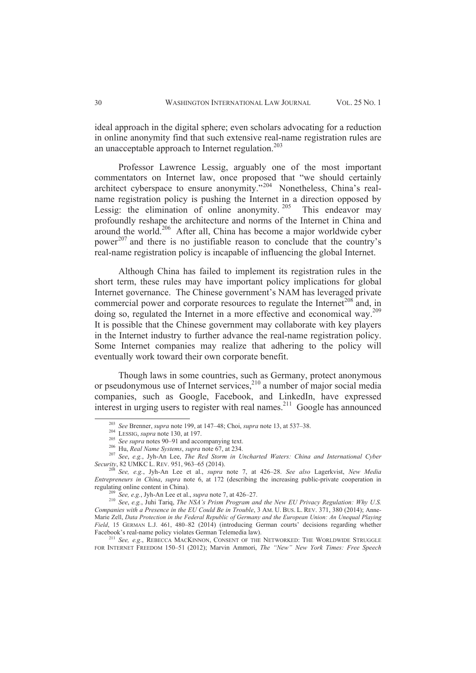ideal approach in the digital sphere; even scholars advocating for a reduction in online anonymity find that such extensive real-name registration rules are an unacceptable approach to Internet regulation.<sup>203</sup>

Professor Lawrence Lessig, arguably one of the most important commentators on Internet law, once proposed that "we should certainly architect cyberspace to ensure anonymity."<sup>204</sup> Nonetheless, China's realname registration policy is pushing the Internet in a direction opposed by Lessig: the elimination of online anonymity.<sup>205</sup> This endeavor may profoundly reshape the architecture and norms of the Internet in China and around the world.<sup>206</sup> After all, China has become a major worldwide cyber power<sup>207</sup> and there is no justifiable reason to conclude that the country's real-name registration policy is incapable of influencing the global Internet.

 Although China has failed to implement its registration rules in the short term, these rules may have important policy implications for global Internet governance. The Chinese government's NAM has leveraged private commercial power and corporate resources to regulate the Internet<sup>208</sup> and, in doing so, regulated the Internet in a more effective and economical way.<sup>209</sup> It is possible that the Chinese government may collaborate with key players in the Internet industry to further advance the real-name registration policy. Some Internet companies may realize that adhering to the policy will eventually work toward their own corporate benefit.

Though laws in some countries, such as Germany, protect anonymous or pseudonymous use of Internet services, $2^{10}$  a number of major social media companies, such as Google, Facebook, and LinkedIn, have expressed interest in urging users to register with real names. <sup>211</sup> Google has announced

 $\overline{a}$ 

<sup>211</sup> *See, e.g*., REBECCA MACKINNON, CONSENT OF THE NETWORKED: THE WORLDWIDE STRUGGLE FOR INTERNET FREEDOM 150–51 (2012); Marvin Ammori, *The "New" New York Times: Free Speech* 

<sup>203</sup> *See* Brenner, *supra* note 199, at 147–48; Choi, *supra* note 13, at 537–38.

<sup>204</sup> LESSIG, *supra* note 130, at 197.

<sup>&</sup>lt;sup>205</sup> *See supra* notes 90–91 and accompanying text.

<sup>206</sup> Hu, *Real Name Systems*, *supra* note 67, at 234.

<sup>207</sup> *See*, *e.g.*, Jyh-An Lee, *The Red Storm in Uncharted Waters: China and International Cyber Security*, 82 UMKC L. REV. 951, 963–65 (2014).

<sup>208</sup> *See, e.g.*, Jyh-An Lee et al., *supra* note 7, at 426–28. *See also* Lagerkvist, *New Media Entrepreneurs in China*, *supra* note 6, at 172 (describing the increasing public-private cooperation in regulating online content in China).

See, e.g., Jyh-An Lee et al., *supra* note 7, at 426–27.

<sup>210</sup> *See*, *e.g.*, Juhi Tariq, *The NSA's Prism Program and the New EU Privacy Regulation: Why U.S. Companies with a Presence in the EU Could Be in Trouble*, 3 AM. U. BUS. L. REV. 371, 380 (2014); Anne-Marie Zell, *Data Protection in the Federal Republic of Germany and the European Union: An Unequal Playing Field*, 15 GERMAN L.J. 461, 480–82 (2014) (introducing German courts' decisions regarding whether Facebook's real-name policy violates German Telemedia law).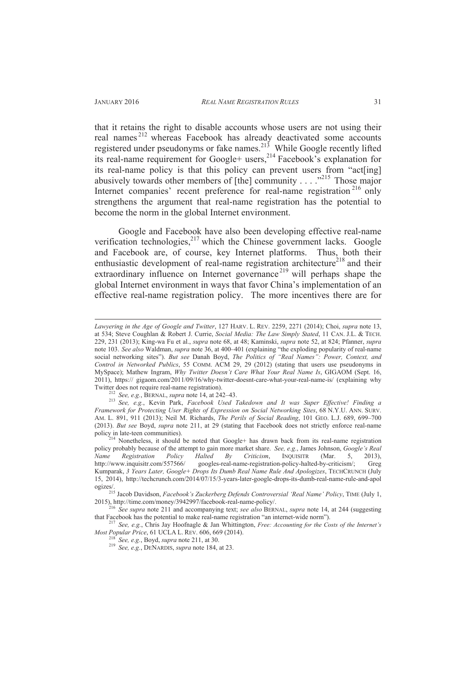$\overline{a}$ 

that it retains the right to disable accounts whose users are not using their real names <sup>212</sup> whereas Facebook has already deactivated some accounts registered under pseudonyms or fake names.<sup>213</sup> While Google recently lifted its real-name requirement for Google+ users,<sup>214</sup> Facebook's explanation for its real-name policy is that this policy can prevent users from "act[ing] abusively towards other members of [the] community . . . . .<sup>215</sup> Those major Internet companies' recent preference for real-name registration<sup>216</sup> only strengthens the argument that real-name registration has the potential to become the norm in the global Internet environment.

Google and Facebook have also been developing effective real-name verification technologies,<sup>217</sup> which the Chinese government lacks. Google and Facebook are, of course, key Internet platforms. Thus, both their enthusiastic development of real-name registration architecture<sup>218</sup> and their extraordinary influence on Internet governance<sup>219</sup> will perhaps shape the global Internet environment in ways that favor China's implementation of an effective real-name registration policy. The more incentives there are for

<sup>212</sup> *See, e.g.*, BERNAL, *supra* note 14, at 242–43.

*Lawyering in the Age of Google and Twitter*, 127 HARV. L. REV. 2259, 2271 (2014); Choi, *supra* note 13, at 534; Steve Coughlan & Robert J. Currie, *Social Media: The Law Simply Stated*, 11 CAN. J.L. & TECH. 229, 231 (2013); King-wa Fu et al., *supra* note 68, at 48; Kaminski, *supra* note 52, at 824; Pfanner, *supra* note 103. *See also* Waldman, *supra* note 36, at 400–401 (explaining "the exploding popularity of real-name social networking sites"). *But see* Danah Boyd, *The Politics of "Real Names": Power, Context, and Control in Networked Publics*, 55 COMM. ACM 29, 29 (2012) (stating that users use pseudonyms in MySpace); Mathew Ingram, *Why Twitter Doesn't Care What Your Real Name Is*, GIGAOM (Sept. 16, 2011), https:// gigaom.com/2011/09/16/why-twitter-doesnt-care-what-your-real-name-is/ (explaining why Twitter does not require real-name registration).

<sup>213</sup> *See, e.g.*, Kevin Park, *Facebook Used Takedown and It was Super Effective! Finding a Framework for Protecting User Rights of Expression on Social Networking Sites*, 68 N.Y.U. ANN. SURV. AM. L. 891, 911 (2013); Neil M. Richards, *The Perils of Social Reading*, 101 GEO. L.J. 689, 699–700 (2013). *But see* Boyd, *supra* note 211, at 29 (stating that Facebook does not strictly enforce real-name policy in late-teen communities).

Nonetheless, it should be noted that Google+ has drawn back from its real-name registration policy probably because of the attempt to gain more market share. *See, e.g.*, James Johnson, *Google's Real Name* Registration Policy Halted By Criticism, INQUISITR (Mar. 5, 2013), *Name Registration Policy Halted By Criticism*, INQUISITR (Mar. 5, 2013), http://www.inquisitr.com/557566/ googles-real-name-registration-policy-halted-by-criticism/; Greg Kumparak, *3 Years Later, Google+ Drops Its Dumb Real Name Rule And Apologizes*, TECHCRUNCH (July 15, 2014), http://techcrunch.com/2014/07/15/3-years-later-google-drops-its-dumb-real-name-rule-and-apol ogizes/.

<sup>215</sup> Jacob Davidson, *Facebook's Zuckerberg Defends Controversial 'Real Name' Policy*, TIME (July 1, 2015), http://time.com/money/3942997/facebook-real-name-policy/.

<sup>216</sup> *See supra* note 211 and accompanying text; *see also* BERNAL, *supra* note 14, at 244 (suggesting that Facebook has the potential to make real-name registration "an internet-wide norm").

<sup>217</sup> *See, e.g.*, Chris Jay Hoofnagle & Jan Whittington, *Free: Accounting for the Costs of the Internet's Most Popular Price*, 61 UCLA L. REV. 606, 669 (2014).

<sup>218</sup> *See, e.g.*, Boyd, *supra* note 211, at 30.

<sup>219</sup> *See, e.g.*, DENARDIS, *supra* note 184, at 23.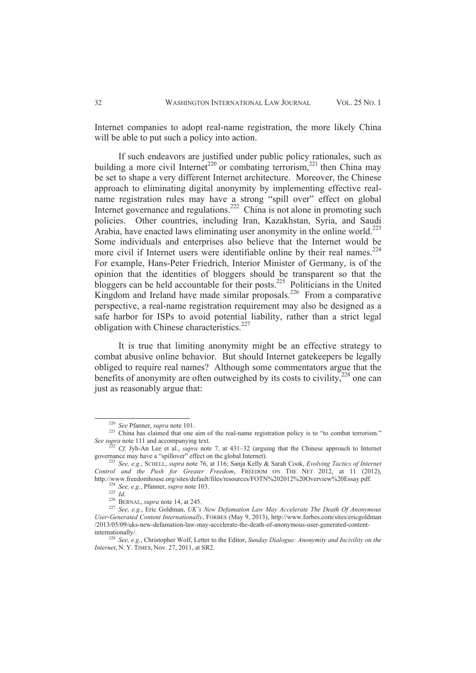Internet companies to adopt real-name registration, the more likely China will be able to put such a policy into action.

If such endeavors are justified under public policy rationales, such as building a more civil Internet<sup>220</sup> or combating terrorism,<sup>221</sup> then China may be set to shape a very different Internet architecture. Moreover, the Chinese approach to eliminating digital anonymity by implementing effective realname registration rules may have a strong "spill over" effect on global Internet governance and regulations.<sup>222</sup> China is not alone in promoting such policies. Other countries, including Iran, Kazakhstan, Syria, and Saudi Arabia, have enacted laws eliminating user anonymity in the online world.<sup>223</sup> Some individuals and enterprises also believe that the Internet would be more civil if Internet users were identifiable online by their real names. $224$ For example, Hans-Peter Friedrich, Interior Minister of Germany, is of the opinion that the identities of bloggers should be transparent so that the bloggers can be held accountable for their posts.<sup>225</sup> Politicians in the United Kingdom and Ireland have made similar proposals.<sup>226</sup> From a comparative perspective, a real-name registration requirement may also be designed as a safe harbor for ISPs to avoid potential liability, rather than a strict legal obligation with Chinese characteristics.<sup>227</sup>

It is true that limiting anonymity might be an effective strategy to combat abusive online behavior. But should Internet gatekeepers be legally obliged to require real names? Although some commentators argue that the benefits of anonymity are often outweighed by its costs to civility, $2^{28}$  one can just as reasonably argue that:

<sup>220</sup> *See* Pfanner, *supra* note 101.

<sup>&</sup>lt;sup>221</sup> China has claimed that one aim of the real-name registration policy is to "to combat terrorism." *See supra* note 111 and accompanying text.

<sup>222</sup> *Cf.* Jyh-An Lee et al., *supra* note 7, at 431–32 (arguing that the Chinese approach to Internet governance may have a "spillover" effect on the global Internet).

<sup>223</sup> *See, e.g.*, SCHELL, *supra* note 76, at 116; Sanja Kelly & Sarah Cook, *Evolving Tactics of Internet Control and the Push for Greater Freedom*, FREEDOM ON THE NET 2012, at 11 (2012), http://www.freedomhouse.org/sites/default/files/resources/FOTN%202012%20Overview%20Essay.pdf.

<sup>224</sup> *See, e.g.*, Pfanner, *supra* note 103. <sup>225</sup> *Id*.

<sup>226</sup> BERNAL, *supra* note 14, at 245.

<sup>227</sup> *See, e.g*., Eric Goldman, *UK's New Defamation Law May Accelerate The Death Of Anonymous User-Generated Content Internationally*, FORBES (May 9, 2013), http://www.forbes.com/sites/ericgoldman /2013/05/09/uks-new-defamation-law-may-accelerate-the-death-of-anonymous-user-generated-contentinternationally/.

<sup>228</sup> *See, e.g.*, Christopher Wolf, Letter to the Editor, *Sunday Dialogue: Anonymity and Incivility on the Internet*, N. Y. TIMES, Nov. 27, 2011, at SR2.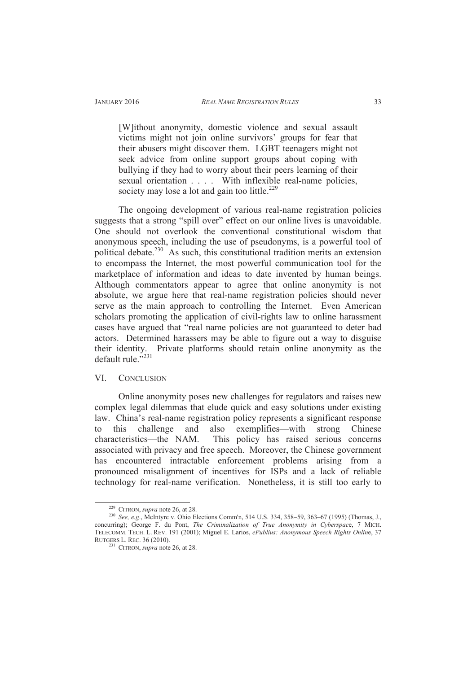[W]ithout anonymity, domestic violence and sexual assault victims might not join online survivors' groups for fear that their abusers might discover them. LGBT teenagers might not seek advice from online support groups about coping with bullying if they had to worry about their peers learning of their sexual orientation . . . . With inflexible real-name policies, society may lose a lot and gain too little.<sup>229</sup>

The ongoing development of various real-name registration policies suggests that a strong "spill over" effect on our online lives is unavoidable. One should not overlook the conventional constitutional wisdom that anonymous speech, including the use of pseudonyms, is a powerful tool of political debate.<sup>230</sup> As such, this constitutional tradition merits an extension to encompass the Internet, the most powerful communication tool for the marketplace of information and ideas to date invented by human beings. Although commentators appear to agree that online anonymity is not absolute, we argue here that real-name registration policies should never serve as the main approach to controlling the Internet. Even American scholars promoting the application of civil-rights law to online harassment cases have argued that "real name policies are not guaranteed to deter bad actors. Determined harassers may be able to figure out a way to disguise their identity. Private platforms should retain online anonymity as the default rule."231

# VI. CONCLUSION

Online anonymity poses new challenges for regulators and raises new complex legal dilemmas that elude quick and easy solutions under existing law. China's real-name registration policy represents a significant response to this challenge and also exemplifies—with strong Chinese characteristics—the NAM. This policy has raised serious concerns associated with privacy and free speech. Moreover, the Chinese government has encountered intractable enforcement problems arising from a pronounced misalignment of incentives for ISPs and a lack of reliable technology for real-name verification. Nonetheless, it is still too early to

<sup>229</sup> CITRON, *supra* note 26, at 28.

<sup>230</sup> *See, e.g*., McIntyre v. Ohio Elections Comm'n, 514 U.S. 334, 358–59, 363–67 (1995) (Thomas, J., concurring); George F. du Pont, *The Criminalization of True Anonymity in Cyberspac*e, 7 MICH. TELECOMM. TECH. L. REV. 191 (2001); Miguel E. Larios, *ePublius: Anonymous Speech Rights Onlin*e, 37 RUTGERS L. REC. 36 (2010).

<sup>&</sup>lt;sup>231</sup> CITRON, *supra* note 26, at 28.